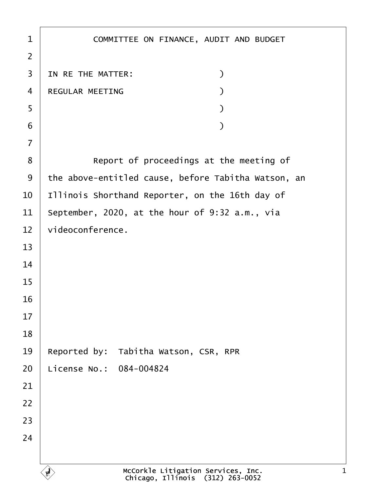| 1              | COMMITTEE ON FINANCE, AUDIT AND BUDGET              |
|----------------|-----------------------------------------------------|
| $\overline{2}$ |                                                     |
| 3              | IN RE THE MATTER:<br>$\mathcal{Y}$                  |
| 4              | <b>REGULAR MEETING</b>                              |
| 5              |                                                     |
| 6              |                                                     |
| $\overline{7}$ |                                                     |
| 8              | Report of proceedings at the meeting of             |
| 9              | the above-entitled cause, before Tabitha Watson, an |
| 10             | Illinois Shorthand Reporter, on the 16th day of     |
| 11             | September, 2020, at the hour of 9:32 a.m., via      |
| 12             | videoconference.                                    |
| 13             |                                                     |
| 14             |                                                     |
| 15             |                                                     |
| 16             |                                                     |
| 17             |                                                     |
| 18             |                                                     |
| 19             | Reported by: Tabitha Watson, CSR, RPR               |
| 20             | License No.: 084-004824                             |
| 21             |                                                     |
| 22             |                                                     |
| 23             |                                                     |
| 24             |                                                     |
|                |                                                     |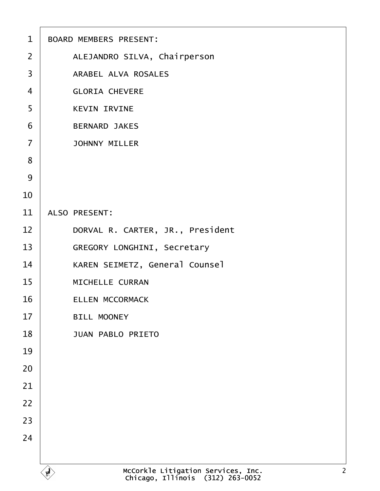| $\mathbf 1$    | <b>BOARD MEMBERS PRESENT:</b>         |
|----------------|---------------------------------------|
| 2              | ALEJANDRO SILVA, Chairperson          |
| 3              | <b>ARABEL ALVA ROSALES</b>            |
| 4              | <b>GLORIA CHEVERE</b>                 |
| 5              | <b>KEVIN IRVINE</b>                   |
| 6              | <b>BERNARD JAKES</b>                  |
| $\overline{7}$ | <b>JOHNNY MILLER</b>                  |
| 8              |                                       |
| 9              |                                       |
| 10             |                                       |
| 11             | <b>ALSO PRESENT:</b>                  |
| 12             | DORVAL R. CARTER, JR., President      |
| 13             | <b>GREGORY LONGHINI, Secretary</b>    |
| 14             | <b>KAREN SEIMETZ, General Counsel</b> |
| 15             | <b>MICHELLE CURRAN</b>                |
| 16             | <b>ELLEN MCCORMACK</b>                |
| 17             | <b>BILL MOONEY</b>                    |
| 18             | <b>JUAN PABLO PRIETO</b>              |
| 19             |                                       |
| 20             |                                       |
| 21             |                                       |
| 22             |                                       |
| 23             |                                       |
| 24             |                                       |
|                |                                       |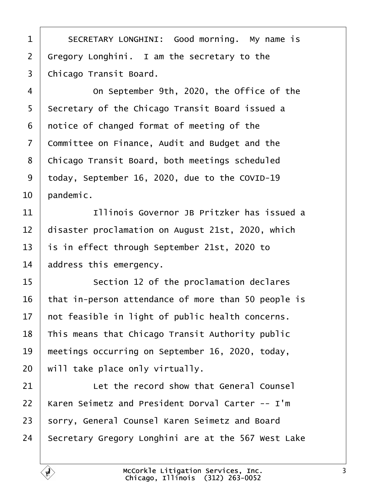<span id="page-2-0"></span>

| 1  | SECRETARY LONGHINI: Good morning. My name is        |
|----|-----------------------------------------------------|
| 2  | Gregory Longhini. I am the secretary to the         |
| 3  | Chicago Transit Board.                              |
| 4  | On September 9th, 2020, the Office of the           |
| 5  | Secretary of the Chicago Transit Board issued a     |
| 6  | notice of changed format of meeting of the          |
| 7  | Committee on Finance, Audit and Budget and the      |
| 8  | Chicago Transit Board, both meetings scheduled      |
| 9  | today, September 16, 2020, due to the COVID-19      |
| 10 | pandemic.                                           |
| 11 | Illinois Governor JB Pritzker has issued a          |
| 12 | disaster proclamation on August 21st, 2020, which   |
| 13 | is in effect through September 21st, 2020 to        |
| 14 | address this emergency.                             |
| 15 | Section 12 of the proclamation declares             |
| 16 | that in-person attendance of more than 50 people is |
| 17 | not feasible in light of public health concerns.    |
| 18 | This means that Chicago Transit Authority public    |
| 19 | meetings occurring on September 16, 2020, today,    |
| 20 | will take place only virtually.                     |
| 21 | Let the record show that General Counsel            |
| 22 | Karen Seimetz and President Dorval Carter -- I'm    |
| 23 | sorry, General Counsel Karen Seimetz and Board      |
| 24 | Secretary Gregory Longhini are at the 567 West Lake |
|    |                                                     |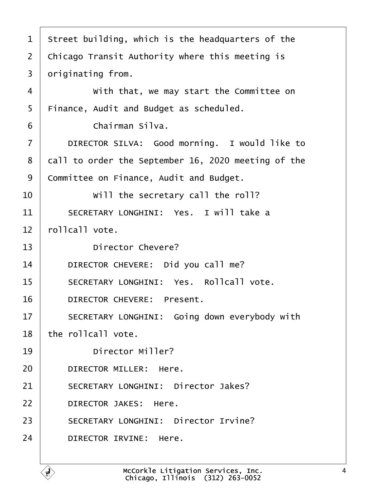<span id="page-3-0"></span>

| 1              | Street building, which is the headquarters of the   |
|----------------|-----------------------------------------------------|
| $\overline{2}$ | Chicago Transit Authority where this meeting is     |
| 3              | driginating from.                                   |
| 4              | With that, we may start the Committee on            |
| 5              | Finance, Audit and Budget as scheduled.             |
| 6              | Chairman Silva.                                     |
| $\overline{7}$ | DIRECTOR SILVA: Good morning. I would like to       |
| 8              | dall to order the September 16, 2020 meeting of the |
| 9              | Committee on Finance, Audit and Budget.             |
| 10             | Will the secretary call the roll?                   |
| 11             | SECRETARY LONGHINI: Yes. I will take a              |
| 12             | rollcall vote.                                      |
| 13             | Director Chevere?                                   |
| 14             | DIRECTOR CHEVERE: Did you call me?                  |
| 15             | <b>SECRETARY LONGHINI: Yes. Rollcall vote.</b>      |
| 16             | DIRECTOR CHEVERE: Present.                          |
| 17             | SECRETARY LONGHINI: Going down everybody with       |
| 18             | the rollcall vote.                                  |
| 19             | <b>Director Miller?</b>                             |
| 20             | DIRECTOR MILLER: Here.                              |
| 21             | <b>SECRETARY LONGHINI: Director Jakes?</b>          |
| 22             | <b>DIRECTOR JAKES: Here.</b>                        |
| 23             | <b>SECRETARY LONGHINI: Director Irvine?</b>         |
| 24             | DIRECTOR IRVINE: Here.                              |
|                |                                                     |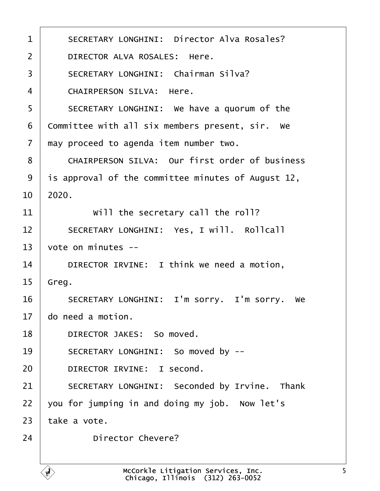<span id="page-4-0"></span>

| 1              | <b>SECRETARY LONGHINI: Director Alva Rosales?</b>     |
|----------------|-------------------------------------------------------|
| 2              | DIRECTOR ALVA ROSALES: Here.                          |
| 3              | <b>SECRETARY LONGHINI: Chairman Silva?</b>            |
| 4              | <b>CHAIRPERSON SILVA: Here.</b>                       |
| 5              | SECRETARY LONGHINI: We have a quorum of the           |
| 6              | Committee with all six members present, sir. We       |
| $\overline{7}$ | may proceed to agenda item number two.                |
| 8              | <b>CHAIRPERSON SILVA: Our first order of business</b> |
| 9              | is approval of the committee minutes of August 12,    |
| 10             | 2020.                                                 |
| 11             | Will the secretary call the roll?                     |
| 12             | SECRETARY LONGHINI: Yes, I will. Rollcall             |
| 13             | vote on minutes --                                    |
| 14             | DIRECTOR IRVINE: I think we need a motion,            |
| 15             | Greg.                                                 |
| 16             | SECRETARY LONGHINI: I'm sorry. I'm sorry. We          |
| 17             | do need a motion.                                     |
| 18             | DIRECTOR JAKES: So moved.                             |
| 19             | SECRETARY LONGHINI: So moved by --                    |
| 20             | DIRECTOR IRVINE: I second.                            |
| 21             | SECRETARY LONGHINI: Seconded by Irvine. Thank         |
| 22             | you for jumping in and doing my job. Now let's        |
| 23             | take a vote.                                          |
| 24             | <b>Director Chevere?</b>                              |
|                |                                                       |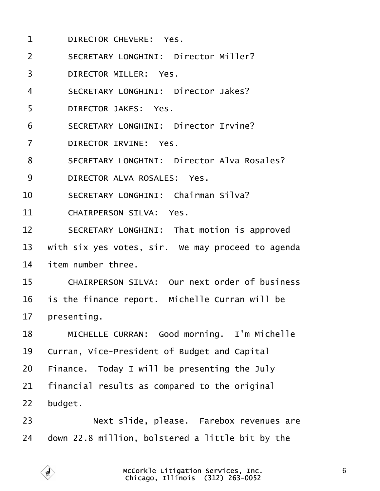<span id="page-5-0"></span>

| 1              | DIRECTOR CHEVERE: Yes.                               |
|----------------|------------------------------------------------------|
| $\overline{2}$ | <b>SECRETARY LONGHINI: Director Miller?</b>          |
| 3              | <b>DIRECTOR MILLER: Yes.</b>                         |
| 4              | <b>SECRETARY LONGHINI: Director Jakes?</b>           |
| 5              | <b>DIRECTOR JAKES: Yes.</b>                          |
| 6              | <b>SECRETARY LONGHINI: Director Irvine?</b>          |
| $\overline{7}$ | <b>DIRECTOR IRVINE: Yes.</b>                         |
| 8              | <b>SECRETARY LONGHINI: Director Alva Rosales?</b>    |
| 9              | DIRECTOR ALVA ROSALES: Yes.                          |
| 10             | <b>SECRETARY LONGHINI: Chairman Silva?</b>           |
| 11             | <b>CHAIRPERSON SILVA: Yes.</b>                       |
| 12             | SECRETARY LONGHINI: That motion is approved          |
| 13             | with six yes votes, sir. We may proceed to agenda    |
| 14             | item number three.                                   |
| 15             | <b>CHAIRPERSON SILVA: Our next order of business</b> |
| 16             | is the finance report. Michelle Curran will be       |
| 17             | presenting.                                          |
| 18             | MICHELLE CURRAN: Good morning. I'm Michelle          |
| 19             | Curran, Vice-President of Budget and Capital         |
| 20             | Finance. Today I will be presenting the July         |
| 21             | financial results as compared to the original        |
| 22             | budget.                                              |
| 23             | Next slide, please. Farebox revenues are             |
| 24             | down 22.8 million, bolstered a little bit by the     |
|                |                                                      |

Г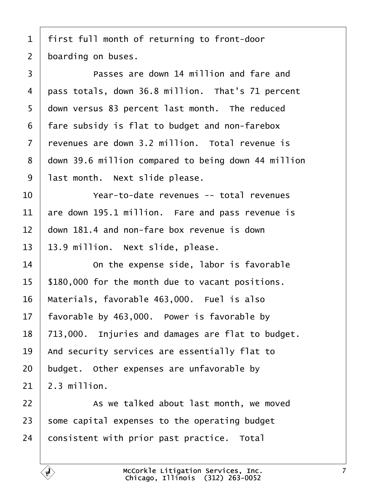<span id="page-6-0"></span>

|  |  |  |  |  |  | i first full month of returning to front-door |
|--|--|--|--|--|--|-----------------------------------------------|
|--|--|--|--|--|--|-----------------------------------------------|

2 boarding on buses.

| 3  | Passes are down 14 million and fare and             |
|----|-----------------------------------------------------|
| 4  | pass totals, down 36.8 million. That's 71 percent   |
| 5  | down versus 83 percent last month. The reduced      |
| 6  | fare subsidy is flat to budget and non-farebox      |
| 7  | revenues are down 3.2 million. Total revenue is     |
| 8  | down 39.6 million compared to being down 44 million |
| 9  | last month. Next slide please.                      |
| 10 | Year-to-date revenues -- total revenues             |
| 11 | are down 195.1 million. Fare and pass revenue is    |
| 12 | down 181.4 and non-fare box revenue is down         |
| 13 | 13.9 million. Next slide, please.                   |
| 14 | On the expense side, labor is favorable             |
| 15 | \$180,000 for the month due to vacant positions.    |
| 16 | Materials, favorable 463,000. Fuel is also          |
| 17 | favorable by 463,000. Power is favorable by         |
| 18 | 713,000. Injuries and damages are flat to budget.   |
| 19 | And security services are essentially flat to       |
| 20 | budget. Other expenses are unfavorable by           |
| 21 | 2.3 million.                                        |
| 22 | As we talked about last month, we moved             |
| 23 | some capital expenses to the operating budget       |
| 24 | consistent with prior past practice. Total          |
|    |                                                     |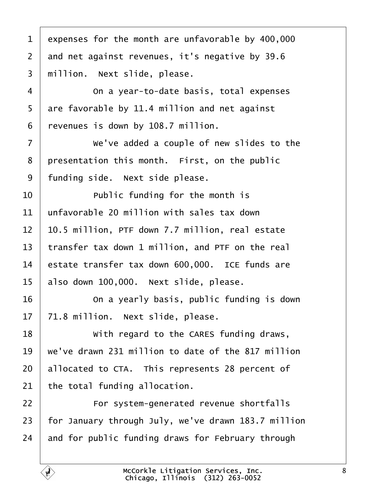<span id="page-7-0"></span>

| 1  | expenses for the month are unfavorable by 400,000   |
|----|-----------------------------------------------------|
| 2  | and net against revenues, it's negative by 39.6     |
| 3  | million. Next slide, please.                        |
| 4  | On a year-to-date basis, total expenses             |
| 5  | are favorable by 11.4 million and net against       |
| 6  | revenues is down by 108.7 million.                  |
| 7  | We've added a couple of new slides to the           |
| 8  | presentation this month. First, on the public       |
| 9  | funding side. Next side please.                     |
| 10 | Public funding for the month is                     |
| 11 | unfavorable 20 million with sales tax down          |
| 12 | 10.5 million, PTF down 7.7 million, real estate     |
| 13 | transfer tax down 1 million, and PTF on the real    |
| 14 | estate transfer tax down 600,000. ICE funds are     |
| 15 | also down 100,000. Next slide, please.              |
| 16 | On a yearly basis, public funding is down           |
| 17 | 71.8 million. Next slide, please.                   |
| 18 | With regard to the CARES funding draws,             |
| 19 | we've drawn 231 million to date of the 817 million  |
| 20 | allocated to CTA. This represents 28 percent of     |
| 21 | the total funding allocation.                       |
| 22 | For system-generated revenue shortfalls             |
| 23 | for January through July, we've drawn 183.7 million |
| 24 | and for public funding draws for February through   |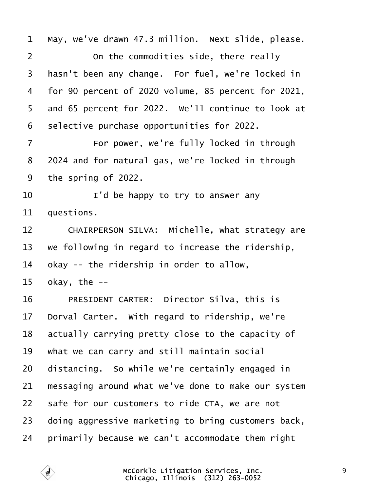<span id="page-8-0"></span>

| 1              | May, we've drawn 47.3 million. Next slide, please.  |
|----------------|-----------------------------------------------------|
| 2              | On the commodities side, there really               |
| 3              | hasn't been any change. For fuel, we're locked in   |
| 4              | for 90 percent of 2020 volume, 85 percent for 2021, |
| 5              | and 65 percent for 2022. We'll continue to look at  |
| 6              | selective purchase opportunities for 2022.          |
| $\overline{7}$ | For power, we're fully locked in through            |
| 8              | 2024 and for natural gas, we're locked in through   |
| 9              | the spring of 2022.                                 |
| 10             | I'd be happy to try to answer any                   |
| 11             | questions.                                          |
| 12             | CHAIRPERSON SILVA: Michelle, what strategy are      |
| 13             | we following in regard to increase the ridership,   |
| 14             | okay -- the ridership in order to allow,            |
| 15             | bkay, the --                                        |
| 16             | PRESIDENT CARTER: Director Silva, this is           |
|                | 17 Dorval Carter. With regard to ridership, we're   |
| 18             | actually carrying pretty close to the capacity of   |
| 19             | what we can carry and still maintain social         |
| 20             | distancing. So while we're certainly engaged in     |
| 21             | messaging around what we've done to make our system |
| 22             | safe for our customers to ride CTA, we are not      |
| 23             | doing aggressive marketing to bring customers back, |
| 24             | primarily because we can't accommodate them right   |
|                |                                                     |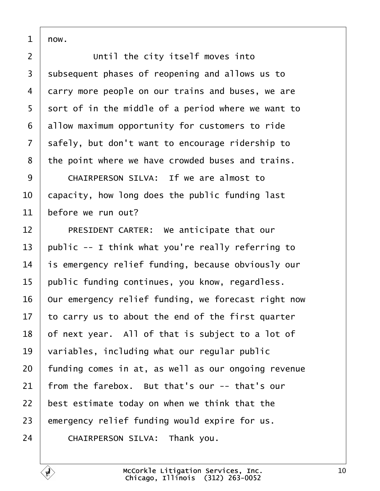<span id="page-9-0"></span> $1$   $now.$ 

2 **Until the city itself moves into** 3 subsequent phases of reopening and allows us to 4 darry more people on our trains and buses, we are 5 sort of in the middle of a period where we want to 6 allow maximum opportunity for customers to ride 7 safely, but don't want to encourage ridership to 8 the point where we have crowded buses and trains. 9 CHAIRPERSON SILVA: If we are almost to 10 **capacity, how long does the public funding last** 11 before we run out? 12 | PRESIDENT CARTER: We anticipate that our 13 public -- I think what you're really referring to 14 is emergency relief funding, because obviously our 15 public funding continues, you know, regardless. 16 Our emergency relief funding, we forecast right now 17 to carry us to about the end of the first quarter 18 of next year. All of that is subject to a lot of 19 variables, including what our regular public 20 funding comes in at, as well as our ongoing revenue 21 from the farebox. But that's our -- that's our 22 best estimate today on when we think that the 23 emergency relief funding would expire for us. 24 CHAIRPERSON SILVA: Thank you.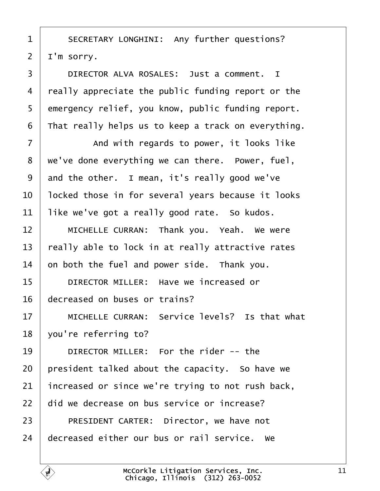<span id="page-10-0"></span>

| 1              | SECRETARY LONGHINI: Any further questions?          |
|----------------|-----------------------------------------------------|
| $\overline{2}$ | I'm sorry.                                          |
| 3              | DIRECTOR ALVA ROSALES: Just a comment. I            |
| 4              | really appreciate the public funding report or the  |
| 5              | emergency relief, you know, public funding report.  |
| 6              | That really helps us to keep a track on everything. |
| 7              | And with regards to power, it looks like            |
| 8              | we've done everything we can there. Power, fuel,    |
| 9              | and the other. I mean, it's really good we've       |
| 10             | locked those in for several years because it looks  |
| 11             | like we've got a really good rate. So kudos.        |
| 12             | MICHELLE CURRAN: Thank you. Yeah. We were           |
| 13             | really able to lock in at really attractive rates   |
| 14             | on both the fuel and power side. Thank you.         |
| 15             | DIRECTOR MILLER: Have we increased or               |
| 16             | decreased on buses or trains?                       |
| 17             | MICHELLE CURRAN: Service levels? Is that what       |
| 18             | you're referring to?                                |
| 19             | DIRECTOR MILLER: For the rider -- the               |
| 20             | president talked about the capacity. So have we     |
| 21             | increased or since we're trying to not rush back,   |
| 22             | did we decrease on bus service or increase?         |
| 23             | PRESIDENT CARTER: Director, we have not             |
| 24             | decreased either our bus or rail service. We        |
|                |                                                     |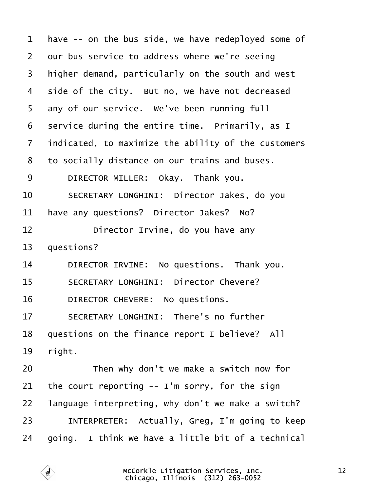<span id="page-11-0"></span>

| 1              | have -- on the bus side, we have redeployed some of   |
|----------------|-------------------------------------------------------|
| $\overline{2}$ | dur bus service to address where we're seeing         |
| 3              | higher demand, particularly on the south and west     |
| 4              | side of the city. But no, we have not decreased       |
| 5              | any of our service. We've been running full           |
| 6              | service during the entire time. Primarily, as I       |
| $\overline{7}$ | indicated, to maximize the ability of the customers   |
| 8              | to socially distance on our trains and buses.         |
| 9              | DIRECTOR MILLER: Okay. Thank you.                     |
| 10             | SECRETARY LONGHINI: Director Jakes, do you            |
| 11             | have any questions? Director Jakes? No?               |
| 12             | Director Irvine, do you have any                      |
| 13             | questions?                                            |
| 14             | DIRECTOR IRVINE: No questions. Thank you.             |
| 15             | <b>SECRETARY LONGHINI: Director Chevere?</b>          |
| 16             | DIRECTOR CHEVERE: No questions.                       |
| 17             | <b>SECRETARY LONGHINI: There's no further</b>         |
| 18             | questions on the finance report I believe? All        |
| 19             | right.                                                |
| 20             | Then why don't we make a switch now for               |
| 21             | the court reporting -- I'm sorry, for the sign        |
| 22             | language interpreting, why don't we make a switch?    |
| 23             | <b>INTERPRETER:</b> Actually, Greg, I'm going to keep |
| 24             | going. I think we have a little bit of a technical    |
|                |                                                       |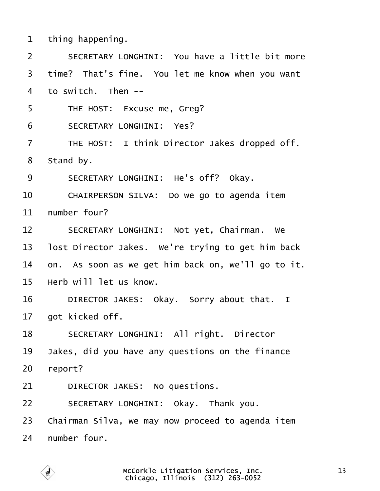- <span id="page-12-0"></span>1 thing happening.
- 2 **SECRETARY LONGHINI:** You have a little bit more
- 3 time? That's fine. You let me know when you want
- 4 to switch. Then --
- 5 | THE HOST: Excuse me, Greg?
- 6 | SECRETARY LONGHINI: Yes?
- 7 | THE HOST: I think Director Jakes dropped off.
- 8 Stand by.
- 9 | SECRETARY LONGHINI: He's off? Okay.
- 10 | CHAIRPERSON SILVA: Do we go to agenda item
- 11 humber four?
- 12 | SECRETARY LONGHINI: Not yet, Chairman. We
- 13 lost Director Jakes. We're trying to get him back
- 14  $\,$  on. As soon as we get him back on, we'll go to it.
- 15 Herb will let us know.
- 16 | DIRECTOR JAKES: Okay. Sorry about that. I
- 17 **bot kicked off.**
- 18 | SECRETARY LONGHINI: All right. Director
- 19 Jakes, did you have any questions on the finance
- 20 report?
- 21 | DIRECTOR JAKES: No questions.
- 22 | SECRETARY LONGHINI: Okay. Thank you.
- 23 Chairman Silva, we may now proceed to agenda item
- 24 humber four.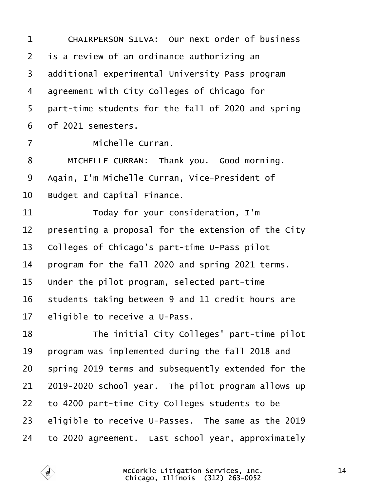<span id="page-13-0"></span>

| 1              | CHAIRPERSON SILVA: Our next order of business       |
|----------------|-----------------------------------------------------|
| $\overline{2}$ | is a review of an ordinance authorizing an          |
| 3              | additional experimental University Pass program     |
| 4              | agreement with City Colleges of Chicago for         |
| 5              | part-time students for the fall of 2020 and spring  |
| 6              | of 2021 semesters.                                  |
| 7              | Michelle Curran.                                    |
| 8              | MICHELLE CURRAN: Thank you. Good morning.           |
| 9              | Again, I'm Michelle Curran, Vice-President of       |
| 10             | <b>Budget and Capital Finance.</b>                  |
| 11             | Today for your consideration, I'm                   |
| 12             | presenting a proposal for the extension of the City |
| 13             | Colleges of Chicago's part-time U-Pass pilot        |
| 14             | program for the fall 2020 and spring 2021 terms.    |
| 15             | Under the pilot program, selected part-time         |
| 16             | students taking between 9 and 11 credit hours are   |
| 17             | eligible to receive a U-Pass.                       |
| 18             | The initial City Colleges' part-time pilot          |
| 19             | program was implemented during the fall 2018 and    |
| 20             | spring 2019 terms and subsequently extended for the |
| 21             | 2019-2020 school year. The pilot program allows up  |
| 22             | to 4200 part-time City Colleges students to be      |
| 23             | eligible to receive U-Passes. The same as the 2019  |
| 24             | to 2020 agreement. Last school year, approximately  |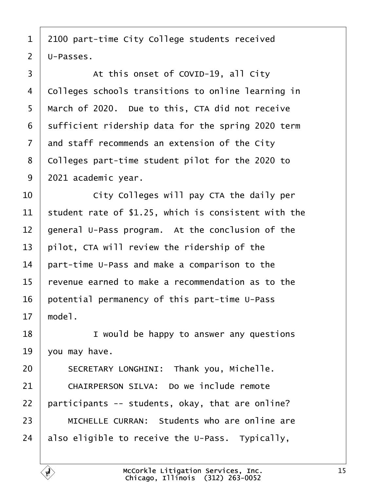- <span id="page-14-0"></span>1 2100 part-time City College students received
- 2 U-Passes.
- 3 | At this onset of COVID-19, all City
- 4 Colleges schools transitions to online learning in
- 5 March of 2020. Due to this, CTA did not receive
- 6 sufficient ridership data for the spring 2020 term
- 7 and staff recommends an extension of the City
- 8 Colleges part-time student pilot for the 2020 to
- 9 2021 academic year.
- 10 **City Colleges will pay CTA the daily per**
- 11 student rate of \$1.25, which is consistent with the
- 12 general U-Pass program. At the conclusion of the
- 13 pilot, CTA will review the ridership of the
- 14 part-time U-Pass and make a comparison to the
- 15 revenue earned to make a recommendation as to the
- 16 potential permanency of this part-time U-Pass
- 17 model.
- 18 **I** vould be happy to answer any questions
- 19  $\sqrt{v}$ ou may have.
- 20 | SECRETARY LONGHINI: Thank you, Michelle.
- 21 | CHAIRPERSON SILVA: Do we include remote
- 22 participants -- students, okay, that are online?
- 23 | MICHELLE CURRAN: Students who are online are
- 24 also eligible to receive the U-Pass. Typically,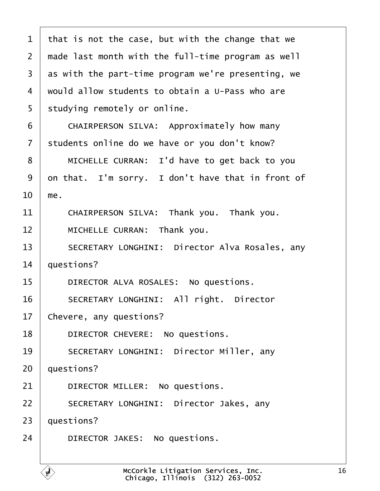<span id="page-15-0"></span>

| 1  | that is not the case, but with the change that we  |  |
|----|----------------------------------------------------|--|
| 2  | made last month with the full-time program as well |  |
| 3  | as with the part-time program we're presenting, we |  |
| 4  | would allow students to obtain a U-Pass who are    |  |
| 5  | studying remotely or online.                       |  |
| 6  | CHAIRPERSON SILVA: Approximately how many          |  |
| 7  | students online do we have or you don't know?      |  |
| 8  | MICHELLE CURRAN: I'd have to get back to you       |  |
| 9  | on that. I'm sorry. I don't have that in front of  |  |
| 10 | me.                                                |  |
| 11 | CHAIRPERSON SILVA: Thank you. Thank you.           |  |
| 12 | MICHELLE CURRAN: Thank you.                        |  |
| 13 | SECRETARY LONGHINI: Director Alva Rosales, any     |  |
| 14 | questions?                                         |  |
| 15 | DIRECTOR ALVA ROSALES: No questions.               |  |
| 16 | <b>SECRETARY LONGHINI: All right. Director</b>     |  |
| 17 | Chevere, any questions?                            |  |
| 18 | DIRECTOR CHEVERE: No questions.                    |  |
| 19 | <b>SECRETARY LONGHINI: Director Miller, any</b>    |  |
| 20 | questions?                                         |  |
| 21 | DIRECTOR MILLER: No questions.                     |  |
| 22 | SECRETARY LONGHINI: Director Jakes, any            |  |
| 23 | questions?                                         |  |
| 24 | DIRECTOR JAKES: No questions.                      |  |
|    |                                                    |  |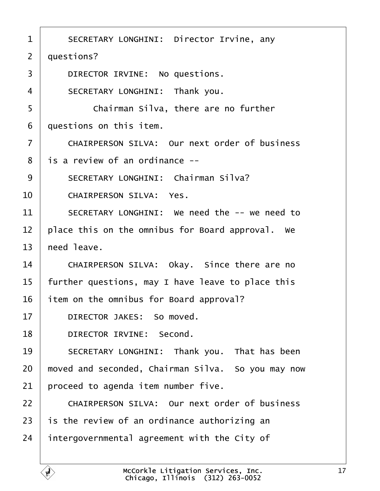<span id="page-16-0"></span>

| 1              | SECRETARY LONGHINI: Director Irvine, any             |
|----------------|------------------------------------------------------|
| $\overline{2}$ | duestions?                                           |
| 3              | DIRECTOR IRVINE: No questions.                       |
| $\overline{4}$ | SECRETARY LONGHINI: Thank you.                       |
| 5              | Chairman Silva, there are no further                 |
| 6              | duestions on this item.                              |
| $\overline{7}$ | <b>CHAIRPERSON SILVA: Our next order of business</b> |
| 8              | is a review of an ordinance --                       |
| 9              | <b>SECRETARY LONGHINI: Chairman Silva?</b>           |
| 10             | <b>CHAIRPERSON SILVA: Yes.</b>                       |
| 11             | SECRETARY LONGHINI: We need the -- we need to        |
| 12             | place this on the omnibus for Board approval. We     |
| 13             | heed leave.                                          |
| 14             | CHAIRPERSON SILVA: Okay. Since there are no          |
| 15             | further questions, may I have leave to place this    |
| 16             | item on the omnibus for Board approval?              |
| 17             | DIRECTOR JAKES: So moved.                            |
| 18             | DIRECTOR IRVINE: Second.                             |
| 19             | SECRETARY LONGHINI: Thank you. That has been         |
| 20             | moved and seconded, Chairman Silva. So you may now   |
| 21             | proceed to agenda item number five.                  |
| 22             | <b>CHAIRPERSON SILVA: Our next order of business</b> |
| 23             | is the review of an ordinance authorizing an         |
| 24             | intergovernmental agreement with the City of         |
|                |                                                      |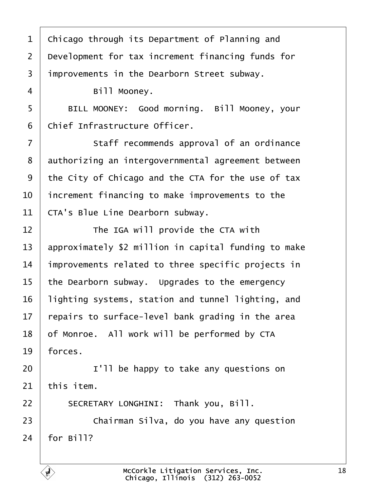<span id="page-17-0"></span>

| 1              | Chicago through its Department of Planning and       |
|----------------|------------------------------------------------------|
| $\overline{2}$ | Development for tax increment financing funds for    |
| 3              | improvements in the Dearborn Street subway.          |
| 4              | Bill Mooney.                                         |
| 5              | BILL MOONEY: Good morning. Bill Mooney, your         |
| 6              | Chief Infrastructure Officer.                        |
| $\overline{7}$ | Staff recommends approval of an ordinance            |
| 8              | authorizing an intergovernmental agreement between   |
| 9              | the City of Chicago and the CTA for the use of tax   |
| 10             | increment financing to make improvements to the      |
| 11             | CTA's Blue Line Dearborn subway.                     |
| 12             | The IGA will provide the CTA with                    |
| 13             | approximately \$2 million in capital funding to make |
| 14             | improvements related to three specific projects in   |
| 15             | the Dearborn subway. Upgrades to the emergency       |
| 16             | lighting systems, station and tunnel lighting, and   |
| 17             | repairs to surface-level bank grading in the area    |
| 18             | of Monroe. All work will be performed by CTA         |
| 19             | forces.                                              |
| 20             | I'll be happy to take any questions on               |
| 21             | this item.                                           |
| 22             | SECRETARY LONGHINI: Thank you, Bill.                 |
| 23             | Chairman Silva, do you have any question             |
| 24             | for Bill?                                            |
|                |                                                      |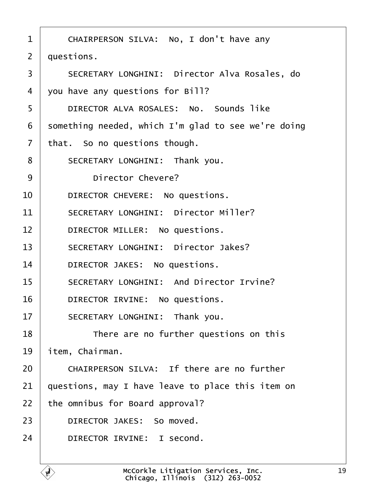<span id="page-18-0"></span>

| 1              | CHAIRPERSON SILVA: No, I don't have any              |
|----------------|------------------------------------------------------|
| 2              | duestions.                                           |
| 3              | <b>SECRETARY LONGHINI: Director Alva Rosales, do</b> |
| 4              | you have any questions for Bill?                     |
| 5              | DIRECTOR ALVA ROSALES: No. Sounds like               |
| 6              | something needed, which I'm glad to see we're doing  |
| $\overline{7}$ | that. So no questions though.                        |
| 8              | SECRETARY LONGHINI: Thank you.                       |
| 9              | Director Chevere?                                    |
| 10             | DIRECTOR CHEVERE: No questions.                      |
| 11             | <b>SECRETARY LONGHINI: Director Miller?</b>          |
| 12             | DIRECTOR MILLER: No questions.                       |
| 13             | <b>SECRETARY LONGHINI: Director Jakes?</b>           |
| 14             | DIRECTOR JAKES: No questions.                        |
| 15             | <b>SECRETARY LONGHINI: And Director Irvine?</b>      |
| 16             | DIRECTOR IRVINE: No questions.                       |
| 17             | SECRETARY LONGHINI: Thank you.                       |
| 18             | There are no further questions on this               |
| 19             | item, Chairman.                                      |
| 20             | CHAIRPERSON SILVA: If there are no further           |
| 21             | questions, may I have leave to place this item on    |
| 22             | the omnibus for Board approval?                      |
| 23             | DIRECTOR JAKES: So moved.                            |
| 24             | DIRECTOR IRVINE: I second.                           |
|                |                                                      |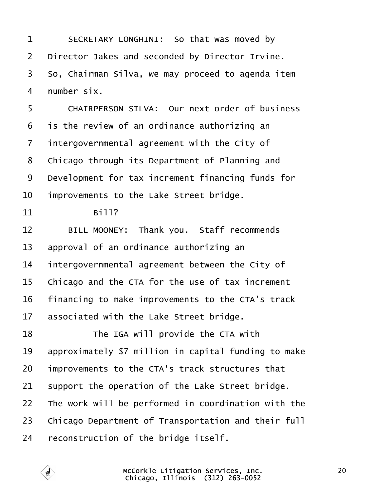<span id="page-19-0"></span>

| 1              | SECRETARY LONGHINI: So that was moved by             |
|----------------|------------------------------------------------------|
| $\overline{2}$ | Director Jakes and seconded by Director Irvine.      |
| 3              | So, Chairman Silva, we may proceed to agenda item    |
| $\overline{4}$ | number six.                                          |
| 5              | <b>CHAIRPERSON SILVA: Our next order of business</b> |
| 6              | is the review of an ordinance authorizing an         |
| $\overline{7}$ | intergovernmental agreement with the City of         |
| 8              | Chicago through its Department of Planning and       |
| 9              | Development for tax increment financing funds for    |
| 10             | improvements to the Lake Street bridge.              |
| 11             | Bill?                                                |
| 12             | BILL MOONEY: Thank you. Staff recommends             |
| 13             | approval of an ordinance authorizing an              |
| 14             | intergovernmental agreement between the City of      |
| 15             | Chicago and the CTA for the use of tax increment     |
| 16             | financing to make improvements to the CTA's track    |
| 17             | associated with the Lake Street bridge.              |
| 18             | The IGA will provide the CTA with                    |
| 19             | approximately \$7 million in capital funding to make |
| 20             | improvements to the CTA's track structures that      |
| 21             | support the operation of the Lake Street bridge.     |
| 22             | The work will be performed in coordination with the  |
| 23             | Chicago Department of Transportation and their full  |
| 24             | reconstruction of the bridge itself.                 |
|                |                                                      |
|                | McCorkle Litigation Services,                        |

 $\overline{\phantom{a}}$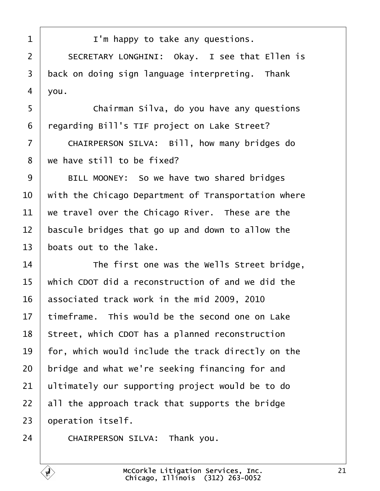<span id="page-20-0"></span>

| 1  | I'm happy to take any questions.                    |
|----|-----------------------------------------------------|
| 2  | SECRETARY LONGHINI: Okay. I see that Ellen is       |
| 3  | back on doing sign language interpreting. Thank     |
| 4  | you.                                                |
| 5  | Chairman Silva, do you have any questions           |
| 6  | regarding Bill's TIF project on Lake Street?        |
| 7  | CHAIRPERSON SILVA: Bill, how many bridges do        |
| 8  | we have still to be fixed?                          |
| 9  | BILL MOONEY: So we have two shared bridges          |
| 10 | with the Chicago Department of Transportation where |
| 11 | we travel over the Chicago River. These are the     |
| 12 | bascule bridges that go up and down to allow the    |
| 13 | boats out to the lake.                              |
| 14 | The first one was the Wells Street bridge,          |
| 15 | which CDOT did a reconstruction of and we did the   |
| 16 | associated track work in the mid 2009, 2010         |
| 17 | timeframe. This would be the second one on Lake     |
| 18 | Street, which CDOT has a planned reconstruction     |
| 19 | for, which would include the track directly on the  |
| 20 | bridge and what we're seeking financing for and     |
| 21 | ultimately our supporting project would be to do    |
| 22 | all the approach track that supports the bridge     |
| 23 | operation itself.                                   |
| 24 | CHAIRPERSON SILVA: Thank you.                       |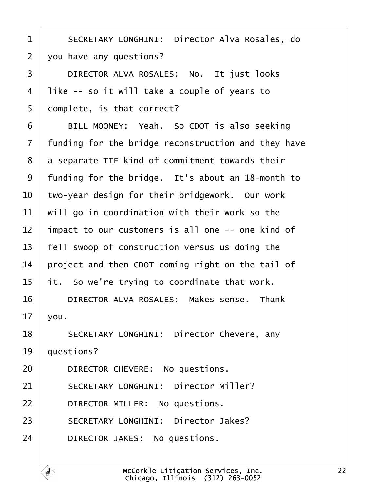<span id="page-21-0"></span>

| 1              | <b>SECRETARY LONGHINI: Director Alva Rosales, do</b> |
|----------------|------------------------------------------------------|
| $\overline{2}$ | you have any questions?                              |
| 3              | DIRECTOR ALVA ROSALES: No. It just looks             |
| 4              | like -- so it will take a couple of years to         |
| 5              | domplete, is that correct?                           |
| 6              | BILL MOONEY: Yeah. So CDOT is also seeking           |
| 7              | funding for the bridge reconstruction and they have  |
| 8              | a separate TIF kind of commitment towards their      |
| 9              | funding for the bridge. It's about an 18-month to    |
| 10             | two-year design for their bridgework. Our work       |
| 11             | will go in coordination with their work so the       |
| 12             | impact to our customers is all one -- one kind of    |
| 13             | fell swoop of construction versus us doing the       |
| 14             | project and then CDOT coming right on the tail of    |
| 15             | it. So we're trying to coordinate that work.         |
| 16             | DIRECTOR ALVA ROSALES: Makes sense. Thank            |
| 17             | you.                                                 |
| 18             | <b>SECRETARY LONGHINI: Director Chevere, any</b>     |
| 19             | questions?                                           |
| 20             | DIRECTOR CHEVERE: No questions.                      |
| 21             | <b>SECRETARY LONGHINI: Director Miller?</b>          |
| 22             | DIRECTOR MILLER: No questions.                       |
| 23             | <b>SECRETARY LONGHINI: Director Jakes?</b>           |
| 24             | DIRECTOR JAKES: No questions.                        |
|                |                                                      |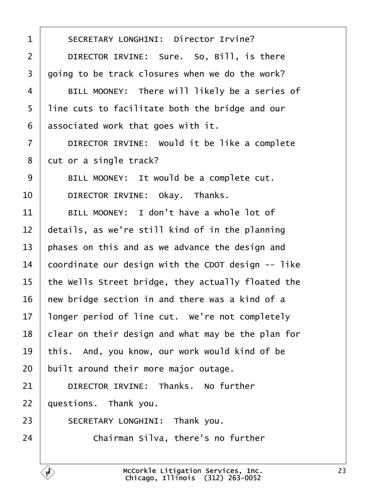<span id="page-22-0"></span>

| 1               | <b>SECRETARY LONGHINI: Director Irvine?</b>        |
|-----------------|----------------------------------------------------|
|                 |                                                    |
| $\overline{2}$  | DIRECTOR IRVINE: Sure. So, Bill, is there          |
| 3               | going to be track closures when we do the work?    |
| 4               | BILL MOONEY: There will likely be a series of      |
| 5               | line cuts to facilitate both the bridge and our    |
| 6               | associated work that goes with it.                 |
| $\overline{7}$  | DIRECTOR IRVINE: Would it be like a complete       |
| 8               | dut or a single track?                             |
| 9               | BILL MOONEY: It would be a complete cut.           |
| 10              | DIRECTOR IRVINE: Okay. Thanks.                     |
| 11              | BILL MOONEY: I don't have a whole lot of           |
| 12 <sub>2</sub> | details, as we're still kind of in the planning    |
| 13              | phases on this and as we advance the design and    |
| 14              | coordinate our design with the CDOT design -- like |
| 15              | the Wells Street bridge, they actually floated the |
| 16              | hew bridge section in and there was a kind of a    |
| 17              | longer period of line cut. We're not completely    |
| 18              | clear on their design and what may be the plan for |
| 19              | this. And, you know, our work would kind of be     |
| 20              | built around their more major outage.              |
| 21              | DIRECTOR IRVINE: Thanks. No further                |
| 22              | questions. Thank you.                              |
| 23              | SECRETARY LONGHINI: Thank you.                     |
| 24              | Chairman Silva, there's no further                 |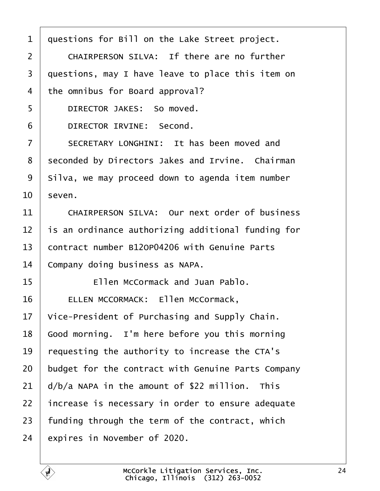<span id="page-23-0"></span>

| 1  | questions for Bill on the Lake Street project.       |
|----|------------------------------------------------------|
| 2  | <b>CHAIRPERSON SILVA: If there are no further</b>    |
| 3  | questions, may I have leave to place this item on    |
| 4  | the omnibus for Board approval?                      |
| 5  | DIRECTOR JAKES: So moved.                            |
| 6  | <b>DIRECTOR IRVINE: Second.</b>                      |
| 7  | SECRETARY LONGHINI: It has been moved and            |
| 8  | seconded by Directors Jakes and Irvine. Chairman     |
| 9  | Silva, we may proceed down to agenda item number     |
| 10 | seven.                                               |
| 11 | <b>CHAIRPERSON SILVA: Our next order of business</b> |
| 12 | is an ordinance authorizing additional funding for   |
| 13 | contract number B12OP04206 with Genuine Parts        |
| 14 | Company doing business as NAPA.                      |
| 15 | Ellen McCormack and Juan Pablo.                      |
| 16 | ELLEN MCCORMACK: Ellen McCormack,                    |
| 17 | Vice-President of Purchasing and Supply Chain.       |
| 18 | Good morning. I'm here before you this morning       |
| 19 | requesting the authority to increase the CTA's       |
| 20 | budget for the contract with Genuine Parts Company   |
| 21 | d/b/a NAPA in the amount of \$22 million. This       |
| 22 | increase is necessary in order to ensure adequate    |
| 23 | funding through the term of the contract, which      |
| 24 | expires in November of 2020.                         |
|    |                                                      |

Г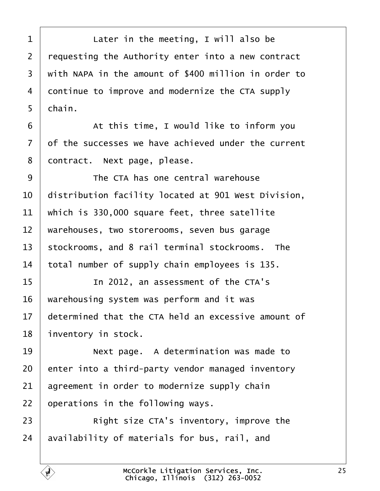<span id="page-24-0"></span>

| 1  | Later in the meeting, I will also be                 |
|----|------------------------------------------------------|
| 2  | requesting the Authority enter into a new contract   |
| 3  | with NAPA in the amount of \$400 million in order to |
| 4  | dontinue to improve and modernize the CTA supply     |
| 5  | chain.                                               |
| 6  | At this time, I would like to inform you             |
| 7  | of the successes we have achieved under the current  |
| 8  | dontract. Next page, please.                         |
| 9  | The CTA has one central warehouse                    |
| 10 | distribution facility located at 901 West Division,  |
| 11 | which is 330,000 square feet, three satellite        |
| 12 | warehouses, two storerooms, seven bus garage         |
| 13 | stockrooms, and 8 rail terminal stockrooms. The      |
| 14 | total number of supply chain employees is 135.       |
| 15 | In 2012, an assessment of the CTA's                  |
| 16 | warehousing system was perform and it was            |
| 17 | determined that the CTA held an excessive amount of  |
| 18 | inventory in stock.                                  |
| 19 | Next page. A determination was made to               |
| 20 | enter into a third-party vendor managed inventory    |
| 21 | agreement in order to modernize supply chain         |
| 22 | operations in the following ways.                    |
| 23 | Right size CTA's inventory, improve the              |
| 24 | availability of materials for bus, rail, and         |
|    |                                                      |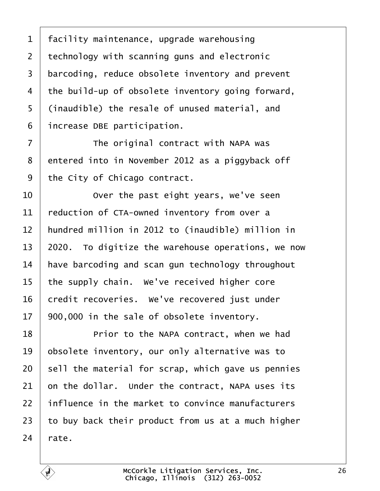<span id="page-25-0"></span>

| 1              | facility maintenance, upgrade warehousing          |
|----------------|----------------------------------------------------|
| $\overline{2}$ | technology with scanning guns and electronic       |
| 3              | barcoding, reduce obsolete inventory and prevent   |
| 4              | the build-up of obsolete inventory going forward,  |
| 5              | (inaudible) the resale of unused material, and     |
| 6              | increase DBE participation.                        |
| $\overline{7}$ | The original contract with NAPA was                |
| 8              | entered into in November 2012 as a piggyback off   |
| 9              | the City of Chicago contract.                      |
| 10             | Over the past eight years, we've seen              |
| 11             | reduction of CTA-owned inventory from over a       |
| 12             | hundred million in 2012 to (inaudible) million in  |
| 13             | 2020. To digitize the warehouse operations, we now |
| 14             | have barcoding and scan gun technology throughout  |
| 15             | the supply chain. We've received higher core       |
| 16             | credit recoveries. We've recovered just under      |
| 17             | 900,000 in the sale of obsolete inventory.         |
| 18             | Prior to the NAPA contract, when we had            |
| 19             | obsolete inventory, our only alternative was to    |
| 20             | sell the material for scrap, which gave us pennies |
| 21             | on the dollar. Under the contract, NAPA uses its   |
| 22             | influence in the market to convince manufacturers  |
| 23             | to buy back their product from us at a much higher |
| 24             | rate.                                              |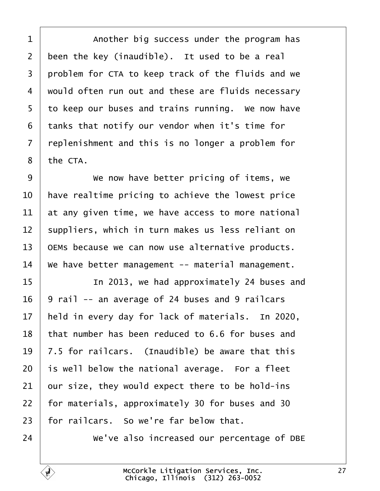<span id="page-26-0"></span>1 | Another big success under the program has 2 been the key (inaudible). It used to be a real 3 problem for CTA to keep track of the fluids and we 4 viould often run out and these are fluids necessary 5 to keep our buses and trains running. We now have 6 tanks that notify our vendor when it's time for ·7· ·replenishment and this is no longer a problem for 8 the CTA. 9 | We now have better pricing of items, we 10 have realtime pricing to achieve the lowest price 11 at any given time, we have access to more national 12 suppliers, which in turn makes us less reliant on 13 OEMs because we can now use alternative products. 14 We have better management -- material management. 15 **I** In 2013, we had approximately 24 buses and 16 9 rail -- an average of 24 buses and 9 railcars 17 held in every day for lack of materials. In 2020, 18 that number has been reduced to 6.6 for buses and 19  $\sqrt{7}$ .5 for railcars. (Inaudible) be aware that this 20 is well below the national average. For a fleet  $21$  bur size, they would expect there to be hold-ins 22 for materials, approximately 30 for buses and 30 23 for railcars. So we're far below that. 24 • We've also increased our percentage of DBE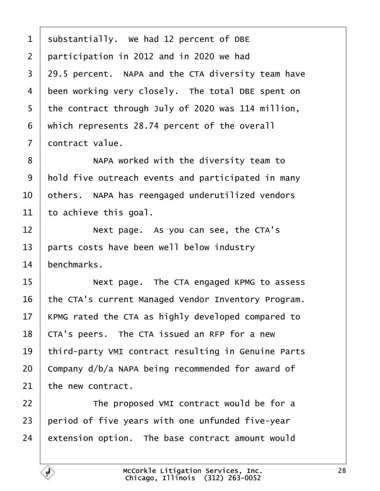<span id="page-27-0"></span>

| 1               | substantially. We had 12 percent of DBE             |
|-----------------|-----------------------------------------------------|
| $\overline{2}$  | participation in 2012 and in 2020 we had            |
| 3               | 29.5 percent. NAPA and the CTA diversity team have  |
| 4               | been working very closely. The total DBE spent on   |
| 5               | the contract through July of 2020 was 114 million,  |
| 6               | which represents 28.74 percent of the overall       |
| 7               | dontract value.                                     |
| 8               | NAPA worked with the diversity team to              |
| 9               | hold five outreach events and participated in many  |
| 10              | others. NAPA has reengaged underutilized vendors    |
| 11              | to achieve this goal.                               |
| 12              | Next page. As you can see, the CTA's                |
| 13              | parts costs have been well below industry           |
| 14              | benchmarks.                                         |
| 15              | Next page. The CTA engaged KPMG to assess           |
| 16              | the CTA's current Managed Vendor Inventory Program. |
| 17 <sub>1</sub> | KPMG rated the CTA as highly developed compared to  |
| 18              | CTA's peers. The CTA issued an RFP for a new        |
| 19              | third-party VMI contract resulting in Genuine Parts |
| 20              | Company d/b/a NAPA being recommended for award of   |
| 21              | the new contract.                                   |
| 22              | The proposed VMI contract would be for a            |
| 23              | period of five years with one unfunded five-year    |
| 24              | extension option. The base contract amount would    |
|                 |                                                     |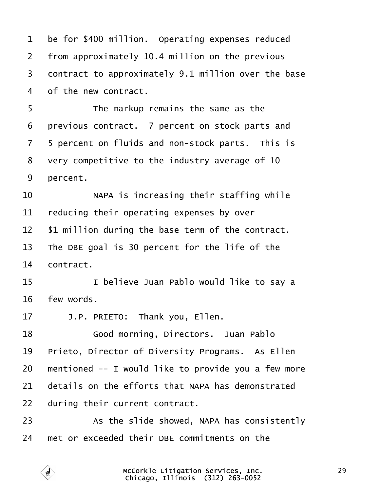<span id="page-28-0"></span>

| 1              | be for \$400 million. Operating expenses reduced    |
|----------------|-----------------------------------------------------|
| $\overline{2}$ | from approximately 10.4 million on the previous     |
| 3              | dontract to approximately 9.1 million over the base |
| 4              | of the new contract.                                |
| 5              | The markup remains the same as the                  |
| 6              | previous contract. 7 percent on stock parts and     |
| $\overline{7}$ | 5 percent on fluids and non-stock parts. This is    |
| 8              | Very competitive to the industry average of 10      |
| 9              | percent.                                            |
| 10             | NAPA is increasing their staffing while             |
| 11             | educing their operating expenses by over            |
| 12             | \$1 million during the base term of the contract.   |
| 13             | The DBE goal is 30 percent for the life of the      |
| 14             | contract.                                           |
| 15             | I believe Juan Pablo would like to say a            |
| 16             | iew words.                                          |
| 17             | J.P. PRIETO: Thank you, Ellen.                      |
| 18             | Good morning, Directors. Juan Pablo                 |
| 19             | Prieto, Director of Diversity Programs. As Ellen    |
| 20             | mentioned -- I would like to provide you a few more |
| 21             | details on the efforts that NAPA has demonstrated   |
| 22             | during their current contract.                      |
| 23             | As the slide showed, NAPA has consistently          |
| 24             | met or exceeded their DBE commitments on the        |
|                |                                                     |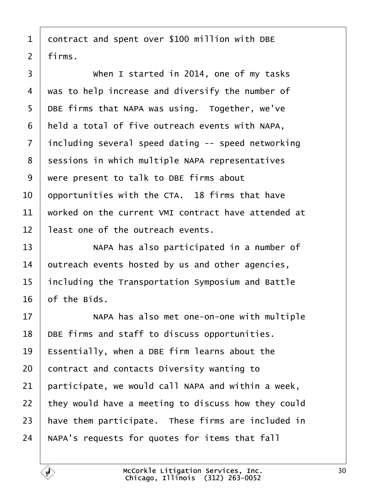- <span id="page-29-0"></span>1 contract and spent over \$100 million with DBE
- 2 firms.
- 3 | When I started in 2014, one of my tasks 4 was to help increase and diversify the number of 5 DBE firms that NAPA was using. Together, we've 6 held a total of five outreach events with NAPA, 7 including several speed dating -- speed networking 8 sessions in which multiple NAPA representatives ·9· ·were present to talk to DBE firms about 10 bpportunities with the CTA. 18 firms that have 11 worked on the current VMI contract have attended at 12 least one of the outreach events. 13 | NAPA has also participated in a number of 14 butreach events hosted by us and other agencies, 15 including the Transportation Symposium and Battle 16 of the Bids. 17 **NAPA has also met one-on-one with multiple** 18 DBE firms and staff to discuss opportunities. 19 Essentially, when a DBE firm learns about the 20 contract and contacts Diversity wanting to 21 participate, we would call NAPA and within a week, 22 they would have a meeting to discuss how they could 23 have them participate. These firms are included in 24 NAPA's requests for quotes for items that fall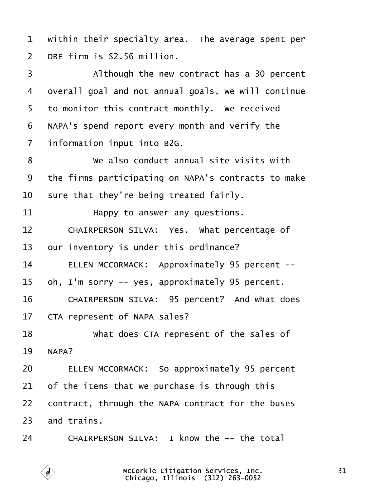<span id="page-30-0"></span>

|  |  | 1 within their specialty area. The average spent per |  |  |
|--|--|------------------------------------------------------|--|--|
|--|--|------------------------------------------------------|--|--|

2 DBE firm is \$2.56 million.

3 | Although the new contract has a 30 percent 4 dyerall goal and not annual goals, we will continue 5 to monitor this contract monthly. We received 6 NAPA's spend report every month and verify the 7 information input into B2G. 8 **We also conduct annual site visits with** 9 the firms participating on NAPA's contracts to make 10 sure that they're being treated fairly. 11  $\parallel$  **Happy to answer any questions.** 12 | CHAIRPERSON SILVA: Yes. What percentage of 13 bur inventory is under this ordinance? 14 | ELLEN MCCORMACK: Approximately 95 percent --15 bh, I'm sorry -- yes, approximately 95 percent. 16 | CHAIRPERSON SILVA: 95 percent? And what does 17 CTA represent of NAPA sales? 18 **What does CTA represent of the sales of** 19 **NAPA?** 20 **ELLEN MCCORMACK: So approximately 95 percent** 21  $\theta$  of the items that we purchase is through this 22 contract, through the NAPA contract for the buses  $23$  and trains.

 $24$   $\blacksquare$  CHAIRPERSON SILVA: I know the -- the total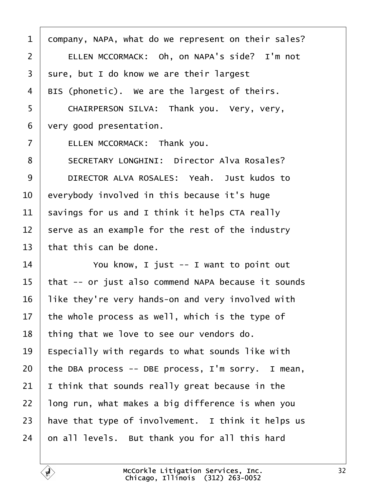<span id="page-31-0"></span>

| $\mathbf 1$    | dompany, NAPA, what do we represent on their sales? |
|----------------|-----------------------------------------------------|
| $\overline{2}$ | ELLEN MCCORMACK: Oh, on NAPA's side? I'm not        |
| 3              | sure, but I do know we are their largest            |
| 4              | BIS (phonetic). We are the largest of theirs.       |
| 5              | CHAIRPERSON SILVA: Thank you. Very, very,           |
| 6              | very good presentation.                             |
| $\overline{7}$ | ELLEN MCCORMACK: Thank you.                         |
| 8              | <b>SECRETARY LONGHINI: Director Alva Rosales?</b>   |
| 9              | DIRECTOR ALVA ROSALES: Yeah. Just kudos to          |
| 10             | everybody involved in this because it's huge        |
| 11             | savings for us and I think it helps CTA really      |
| 12             | serve as an example for the rest of the industry    |
| 13             | that this can be done.                              |
| 14             | You know, I just -- I want to point out             |
| 15             | that -- or just also commend NAPA because it sounds |
| 16             | like they're very hands-on and very involved with   |
| 17             | the whole process as well, which is the type of     |
| 18             | thing that we love to see our vendors do.           |
| 19             | Especially with regards to what sounds like with    |
| 20             | the DBA process -- DBE process, I'm sorry. I mean,  |
| 21             | think that sounds really great because in the       |
| 22             | long run, what makes a big difference is when you   |
| 23             | have that type of involvement. I think it helps us  |
| 24             | on all levels. But thank you for all this hard      |
|                |                                                     |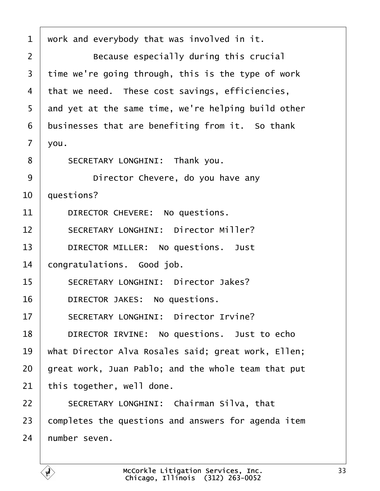<span id="page-32-0"></span>

| 1              | work and everybody that was involved in it.         |
|----------------|-----------------------------------------------------|
| 2              | Because especially during this crucial              |
| 3              | time we're going through, this is the type of work  |
| 4              | that we need. These cost savings, efficiencies,     |
| 5              | and yet at the same time, we're helping build other |
| 6              | businesses that are benefiting from it. So thank    |
| $\overline{7}$ | you.                                                |
| 8              | SECRETARY LONGHINI: Thank you.                      |
| 9              | Director Chevere, do you have any                   |
| 10             | questions?                                          |
| 11             | DIRECTOR CHEVERE: No questions.                     |
| 12             | <b>SECRETARY LONGHINI: Director Miller?</b>         |
| 13             | DIRECTOR MILLER: No questions. Just                 |
| 14             | congratulations. Good job.                          |
| 15             | <b>SECRETARY LONGHINI: Director Jakes?</b>          |
| 16             | DIRECTOR JAKES: No questions.                       |
| 17             | <b>SECRETARY LONGHINI: Director Irvine?</b>         |
| 18             | DIRECTOR IRVINE: No questions. Just to echo         |
| 19             | what Director Alva Rosales said; great work, Ellen; |
| 20             | great work, Juan Pablo; and the whole team that put |
| 21             | this together, well done.                           |
| 22             | SECRETARY LONGHINI: Chairman Silva, that            |
| 23             | completes the questions and answers for agenda item |
| 24             | humber seven.                                       |
|                |                                                     |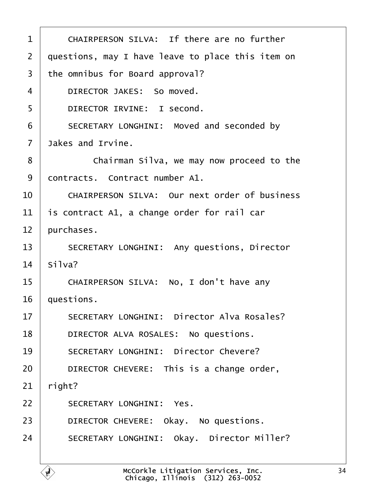<span id="page-33-0"></span>

| 1              | CHAIRPERSON SILVA: If there are no further         |
|----------------|----------------------------------------------------|
| 2              | questions, may I have leave to place this item on  |
| 3              | the omnibus for Board approval?                    |
| 4              | DIRECTOR JAKES: So moved.                          |
| 5              | DIRECTOR IRVINE: I second.                         |
| 6              | SECRETARY LONGHINI: Moved and seconded by          |
| $\overline{7}$ | Jakes and Irvine.                                  |
| 8              | Chairman Silva, we may now proceed to the          |
| 9              | dontracts. Contract number A1.                     |
| 10             | CHAIRPERSON SILVA: Our next order of business      |
| 11             | is contract A1, a change order for rail car        |
| 12             | purchases.                                         |
| 13             | <b>SECRETARY LONGHINI: Any questions, Director</b> |
| 14             | Silva?                                             |
| 15             | CHAIRPERSON SILVA: No, I don't have any            |
| 16             | questions.                                         |
| 17             | <b>SECRETARY LONGHINI: Director Alva Rosales?</b>  |
| 18             | DIRECTOR ALVA ROSALES: No questions.               |
| 19             | <b>SECRETARY LONGHINI: Director Chevere?</b>       |
| 20             | DIRECTOR CHEVERE: This is a change order,          |
| 21             | right?                                             |
| 22             | <b>SECRETARY LONGHINI: Yes.</b>                    |
| 23             | DIRECTOR CHEVERE: Okay. No questions.              |
| 24             | <b>SECRETARY LONGHINI: Okay. Director Miller?</b>  |
|                |                                                    |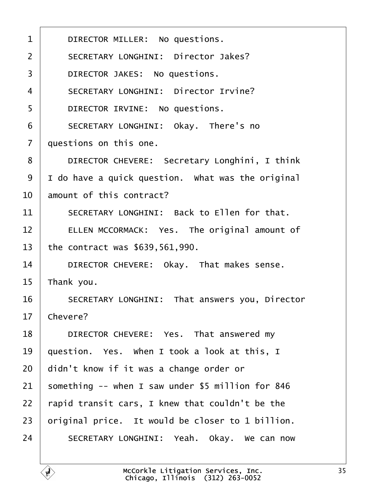<span id="page-34-0"></span>

| 1              | DIRECTOR MILLER: No questions.                    |
|----------------|---------------------------------------------------|
| 2              | <b>SECRETARY LONGHINI: Director Jakes?</b>        |
| 3              | DIRECTOR JAKES: No questions.                     |
| 4              | <b>SECRETARY LONGHINI: Director Irvine?</b>       |
| 5              | DIRECTOR IRVINE: No questions.                    |
| 6              | SECRETARY LONGHINI: Okay. There's no              |
| $\overline{7}$ | questions on this one.                            |
| 8              | DIRECTOR CHEVERE: Secretary Longhini, I think     |
| 9              | I do have a quick question. What was the original |
| 10             | amount of this contract?                          |
| 11             | SECRETARY LONGHINI: Back to Ellen for that.       |
| 12             | ELLEN MCCORMACK: Yes. The original amount of      |
| 13             | the contract was \$639,561,990.                   |
| 14             | DIRECTOR CHEVERE: Okay. That makes sense.         |
| 15             | Thank you.                                        |
| 16             | SECRETARY LONGHINI: That answers you, Director    |
| 17             | Chevere?                                          |
| 18             | DIRECTOR CHEVERE: Yes. That answered my           |
| 19             | question. Yes. When I took a look at this, I      |
| 20             | didn't know if it was a change order or           |
| 21             | something -- when I saw under \$5 million for 846 |
| 22             | rapid transit cars, I knew that couldn't be the   |
| 23             | priginal price. It would be closer to 1 billion.  |
| 24             | SECRETARY LONGHINI: Yeah. Okay. We can now        |
|                |                                                   |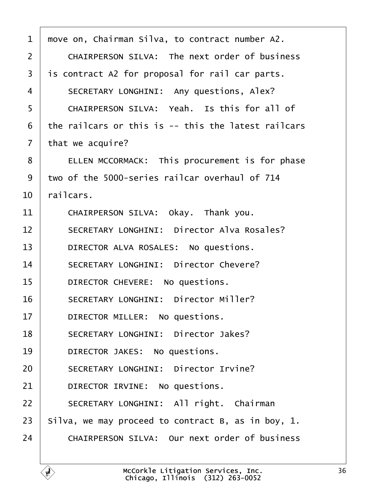<span id="page-35-0"></span>

| 1  | move on, Chairman Silva, to contract number A2.      |
|----|------------------------------------------------------|
| 2  | <b>CHAIRPERSON SILVA: The next order of business</b> |
| 3  | is contract A2 for proposal for rail car parts.      |
| 4  | SECRETARY LONGHINI: Any questions, Alex?             |
| 5  | CHAIRPERSON SILVA: Yeah. Is this for all of          |
| 6  | the railcars or this is -- this the latest railcars  |
| 7  | that we acquire?                                     |
| 8  | ELLEN MCCORMACK: This procurement is for phase       |
| 9  | two of the 5000-series railcar overhaul of 714       |
| 10 | railcars.                                            |
| 11 | CHAIRPERSON SILVA: Okay. Thank you.                  |
| 12 | <b>SECRETARY LONGHINI: Director Alva Rosales?</b>    |
| 13 | DIRECTOR ALVA ROSALES: No questions.                 |
| 14 | <b>SECRETARY LONGHINI: Director Chevere?</b>         |
| 15 | DIRECTOR CHEVERE: No questions.                      |
| 16 | <b>SECRETARY LONGHINI: Director Miller?</b>          |
| 17 | DIRECTOR MILLER: No questions.                       |
| 18 | <b>SECRETARY LONGHINI: Director Jakes?</b>           |
| 19 | DIRECTOR JAKES: No questions.                        |
| 20 | <b>SECRETARY LONGHINI: Director Irvine?</b>          |
| 21 | DIRECTOR IRVINE: No questions.                       |
| 22 | SECRETARY LONGHINI: All right. Chairman              |
| 23 | Silva, we may proceed to contract B, as in boy, 1.   |
| 24 | <b>CHAIRPERSON SILVA: Our next order of business</b> |
|    |                                                      |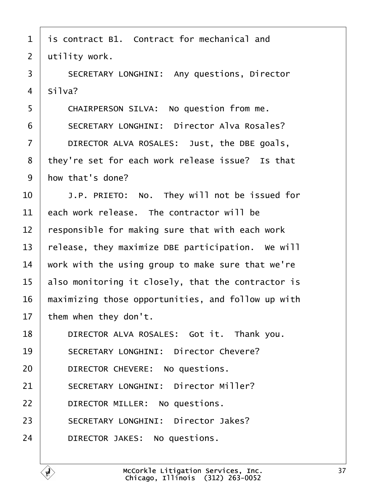- <span id="page-36-0"></span>1 is contract B1. Contract for mechanical and
- 2 utility work.
- 3 | SECRETARY LONGHINI: Any questions, Director
- 4 Silva?
- 5 | CHAIRPERSON SILVA: No question from me.
- 6 **SECRETARY LONGHINI: Director Alva Rosales?**
- $7$   $\parallel$  DIRECTOR ALVA ROSALES: Just, the DBE goals,
- 8 they're set for each work release issue? Is that
- 9 how that's done?
- $10$   $\parallel$  J.P. PRIETO: No. They will not be issued for
- 11  $\,$  each work release. The contractor will be
- 12 responsible for making sure that with each work
- 13 release, they maximize DBE participation. We will
- 14 work with the using group to make sure that we're
- 15 also monitoring it closely, that the contractor is
- 16 maximizing those opportunities, and follow up with
- 17 them when they don't.
- 18 | DIRECTOR ALVA ROSALES: Got it. Thank you.
- 19 | SECRETARY LONGHINI: Director Chevere?
- 20 | DIRECTOR CHEVERE: No questions.
- 21 | SECRETARY LONGHINI: Director Miller?
- 22 | DIRECTOR MILLER: No questions.
- 23 | SECRETARY LONGHINI: Director Jakes?
- 24 | DIRECTOR JAKES: No questions.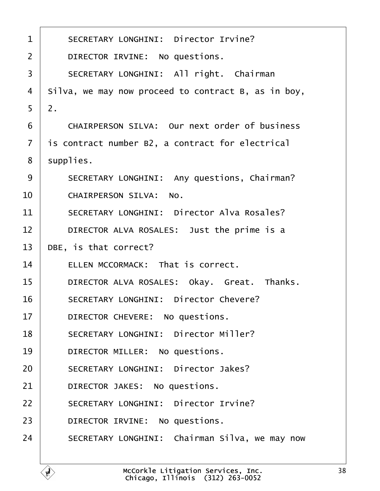<span id="page-37-0"></span>

| 1                     | <b>SECRETARY LONGHINI: Director Irvine?</b>          |
|-----------------------|------------------------------------------------------|
| 2                     | DIRECTOR IRVINE: No questions.                       |
| 3                     | SECRETARY LONGHINI: All right. Chairman              |
| 4                     | Silva, we may now proceed to contract B, as in boy,  |
| $\overline{2}$ .<br>5 |                                                      |
| 6                     | <b>CHAIRPERSON SILVA: Our next order of business</b> |
| 7                     | is contract number B2, a contract for electrical     |
| 8                     | supplies.                                            |
| 9                     | SECRETARY LONGHINI: Any questions, Chairman?         |
| 10                    | <b>CHAIRPERSON SILVA: No.</b>                        |
| 11                    | <b>SECRETARY LONGHINI: Director Alva Rosales?</b>    |
| 12                    | DIRECTOR ALVA ROSALES: Just the prime is a           |
| 13                    | DBE, is that correct?                                |
| 14                    | ELLEN MCCORMACK: That is correct.                    |
| 15                    | DIRECTOR ALVA ROSALES: Okay. Great. Thanks.          |
| 16                    | <b>SECRETARY LONGHINI: Director Chevere?</b>         |
| 17                    | DIRECTOR CHEVERE: No questions.                      |
| 18                    | <b>SECRETARY LONGHINI: Director Miller?</b>          |
| 19                    | DIRECTOR MILLER: No questions.                       |
| 20                    | <b>SECRETARY LONGHINI: Director Jakes?</b>           |
| 21                    | DIRECTOR JAKES: No questions.                        |
| 22                    | <b>SECRETARY LONGHINI: Director Irvine?</b>          |
| 23                    | DIRECTOR IRVINE: No questions.                       |
| 24                    | SECRETARY LONGHINI: Chairman Silva, we may now       |
|                       |                                                      |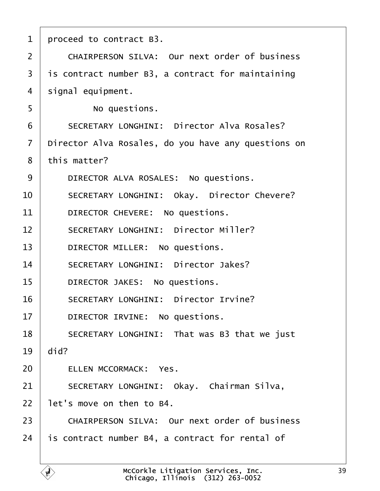<span id="page-38-0"></span>

| 1              | proceed to contract B3.                              |
|----------------|------------------------------------------------------|
| $\overline{2}$ | <b>CHAIRPERSON SILVA: Our next order of business</b> |
| 3              | is contract number B3, a contract for maintaining    |
| 4              | signal equipment.                                    |
| 5              | No questions.                                        |
| 6              | <b>SECRETARY LONGHINI: Director Alva Rosales?</b>    |
| 7              | Director Alva Rosales, do you have any questions on  |
| 8              | this matter?                                         |
| 9              | DIRECTOR ALVA ROSALES: No questions.                 |
| 10             | <b>SECRETARY LONGHINI: Okay. Director Chevere?</b>   |
| 11             | DIRECTOR CHEVERE: No questions.                      |
| 12             | <b>SECRETARY LONGHINI: Director Miller?</b>          |
| 13             | DIRECTOR MILLER: No questions.                       |
| 14             | <b>SECRETARY LONGHINI: Director Jakes?</b>           |
| 15             | DIRECTOR JAKES: No questions.                        |
| 16             | <b>SECRETARY LONGHINI: Director Irvine?</b>          |
| 17             | DIRECTOR IRVINE: No questions.                       |
| 18             | SECRETARY LONGHINI: That was B3 that we just         |
| 19             | did?                                                 |
| 20             | <b>ELLEN MCCORMACK: Yes.</b>                         |
| 21             | SECRETARY LONGHINI: Okay. Chairman Silva,            |
| 22             | let's move on then to B4.                            |
| 23             | <b>CHAIRPERSON SILVA: Our next order of business</b> |
| 24             | is contract number B4, a contract for rental of      |
|                |                                                      |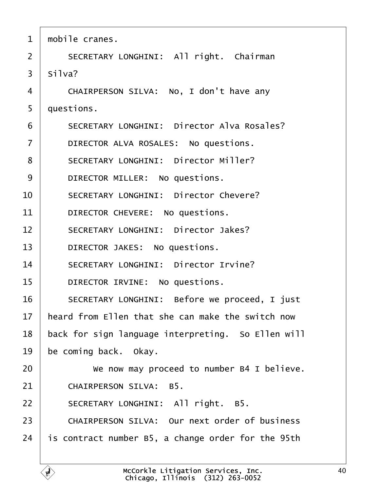<span id="page-39-0"></span>

| $\mathbf 1$    | mobile cranes.                                       |  |
|----------------|------------------------------------------------------|--|
| $\overline{2}$ | SECRETARY LONGHINI: All right. Chairman              |  |
| 3              | Silva?                                               |  |
| 4              | CHAIRPERSON SILVA: No, I don't have any              |  |
| 5              | duestions.                                           |  |
| 6              | <b>SECRETARY LONGHINI: Director Alva Rosales?</b>    |  |
| $\overline{7}$ | DIRECTOR ALVA ROSALES: No questions.                 |  |
| 8              | <b>SECRETARY LONGHINI: Director Miller?</b>          |  |
| 9              | DIRECTOR MILLER: No questions.                       |  |
| 10             | <b>SECRETARY LONGHINI: Director Chevere?</b>         |  |
| 11             | DIRECTOR CHEVERE: No questions.                      |  |
| 12             | <b>SECRETARY LONGHINI: Director Jakes?</b>           |  |
| 13             | DIRECTOR JAKES: No questions.                        |  |
| 14             | <b>SECRETARY LONGHINI: Director Irvine?</b>          |  |
| 15             | DIRECTOR IRVINE: No questions.                       |  |
| 16             | SECRETARY LONGHINI: Before we proceed, I just        |  |
| 17             | heard from Ellen that she can make the switch now    |  |
| 18             | back for sign language interpreting. So Ellen will   |  |
| 19             | be coming back. Okay.                                |  |
| 20             | We now may proceed to number B4 I believe.           |  |
| 21             | <b>CHAIRPERSON SILVA: B5.</b>                        |  |
| 22             | SECRETARY LONGHINI: All right. B5.                   |  |
| 23             | <b>CHAIRPERSON SILVA: Our next order of business</b> |  |
| 24             | is contract number B5, a change order for the 95th   |  |
|                |                                                      |  |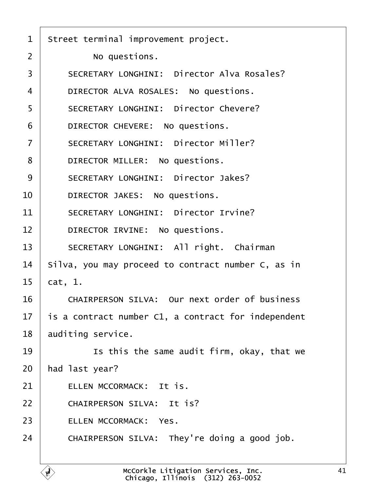<span id="page-40-0"></span>

| 1  | Street terminal improvement project.                 |
|----|------------------------------------------------------|
| 2  | No questions.                                        |
| 3  | <b>SECRETARY LONGHINI: Director Alva Rosales?</b>    |
| 4  | DIRECTOR ALVA ROSALES: No questions.                 |
| 5  | <b>SECRETARY LONGHINI: Director Chevere?</b>         |
| 6  | DIRECTOR CHEVERE: No questions.                      |
| 7  | <b>SECRETARY LONGHINI: Director Miller?</b>          |
| 8  | DIRECTOR MILLER: No questions.                       |
| 9  | <b>SECRETARY LONGHINI: Director Jakes?</b>           |
| 10 | DIRECTOR JAKES: No questions.                        |
| 11 | <b>SECRETARY LONGHINI: Director Irvine?</b>          |
| 12 | DIRECTOR IRVINE: No questions.                       |
| 13 | SECRETARY LONGHINI: All right. Chairman              |
| 14 | Silva, you may proceed to contract number C, as in   |
| 15 | <b>cat</b> , 1.                                      |
| 16 | <b>CHAIRPERSON SILVA: Our next order of business</b> |
| 17 | is a contract number C1, a contract for independent  |
| 18 | auditing service.                                    |
| 19 | Is this the same audit firm, okay, that we           |
| 20 | had last year?                                       |
| 21 | ELLEN MCCORMACK: It is.                              |
| 22 | <b>CHAIRPERSON SILVA: It is?</b>                     |
| 23 | <b>ELLEN MCCORMACK: Yes.</b>                         |
| 24 | CHAIRPERSON SILVA: They're doing a good job.         |
|    |                                                      |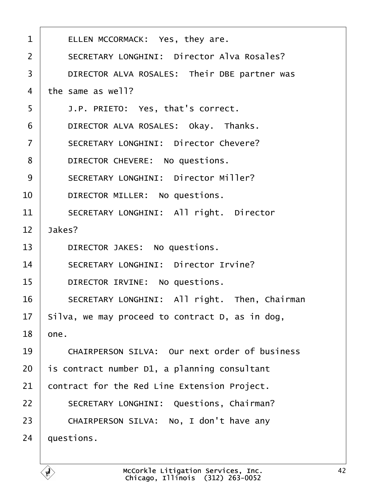<span id="page-41-0"></span>

| 1              | ELLEN MCCORMACK: Yes, they are.                      |  |  |
|----------------|------------------------------------------------------|--|--|
| $\overline{2}$ | <b>SECRETARY LONGHINI: Director Alva Rosales?</b>    |  |  |
| 3              | DIRECTOR ALVA ROSALES: Their DBE partner was         |  |  |
| $\overline{4}$ | the same as well?                                    |  |  |
| 5              | J.P. PRIETO: Yes, that's correct.                    |  |  |
| 6              | DIRECTOR ALVA ROSALES: Okay. Thanks.                 |  |  |
| $\overline{7}$ | <b>SECRETARY LONGHINI: Director Chevere?</b>         |  |  |
| 8              | DIRECTOR CHEVERE: No questions.                      |  |  |
| 9              | <b>SECRETARY LONGHINI: Director Miller?</b>          |  |  |
| 10             | DIRECTOR MILLER: No questions.                       |  |  |
| 11             | <b>SECRETARY LONGHINI: All right. Director</b>       |  |  |
| 12             | Jakes?                                               |  |  |
| 13             | DIRECTOR JAKES: No questions.                        |  |  |
| 14             | <b>SECRETARY LONGHINI: Director Irvine?</b>          |  |  |
| 15             | DIRECTOR IRVINE: No questions.                       |  |  |
| 16             | SECRETARY LONGHINI: All right. Then, Chairman        |  |  |
| 17             | Silva, we may proceed to contract D, as in dog,      |  |  |
| 18             | one.                                                 |  |  |
| 19             | <b>CHAIRPERSON SILVA: Our next order of business</b> |  |  |
| 20             | is contract number D1, a planning consultant         |  |  |
| 21             | contract for the Red Line Extension Project.         |  |  |
| 22             | <b>SECRETARY LONGHINI: Questions, Chairman?</b>      |  |  |
| 23             | CHAIRPERSON SILVA: No, I don't have any              |  |  |
| 24             | questions.                                           |  |  |
|                |                                                      |  |  |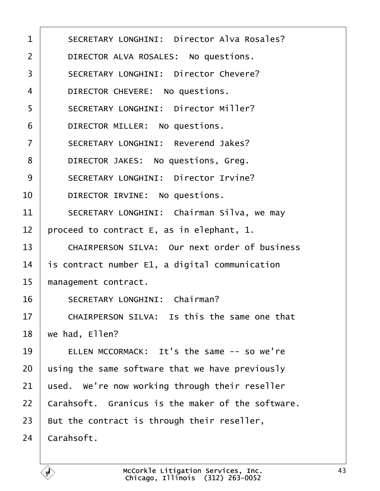<span id="page-42-0"></span>

| $\mathbf 1$    | <b>SECRETARY LONGHINI: Director Alva Rosales?</b>    |  |  |  |
|----------------|------------------------------------------------------|--|--|--|
| $\overline{2}$ | DIRECTOR ALVA ROSALES: No questions.                 |  |  |  |
| 3              | <b>SECRETARY LONGHINI: Director Chevere?</b>         |  |  |  |
| 4              | DIRECTOR CHEVERE: No questions.                      |  |  |  |
| 5              | <b>SECRETARY LONGHINI: Director Miller?</b>          |  |  |  |
| 6              | DIRECTOR MILLER: No questions.                       |  |  |  |
| $\overline{7}$ | <b>SECRETARY LONGHINI: Reverend Jakes?</b>           |  |  |  |
| 8              | DIRECTOR JAKES: No questions, Greg.                  |  |  |  |
| 9              | <b>SECRETARY LONGHINI: Director Irvine?</b>          |  |  |  |
| 10             | DIRECTOR IRVINE: No questions.                       |  |  |  |
| 11             | SECRETARY LONGHINI: Chairman Silva, we may           |  |  |  |
| 12             | proceed to contract E, as in elephant, 1.            |  |  |  |
| 13             | <b>CHAIRPERSON SILVA: Our next order of business</b> |  |  |  |
| 14             | is contract number E1, a digital communication       |  |  |  |
| 15             | management contract.                                 |  |  |  |
| 16             | <b>SECRETARY LONGHINI: Chairman?</b>                 |  |  |  |
| 17             | CHAIRPERSON SILVA: Is this the same one that         |  |  |  |
| 18             | we had, Ellen?                                       |  |  |  |
| 19             | ELLEN MCCORMACK: It's the same -- so we're           |  |  |  |
| 20             | using the same software that we have previously      |  |  |  |
| 21             | used. We're now working through their reseller       |  |  |  |
| 22             | Carahsoft. Granicus is the maker of the software.    |  |  |  |
| 23             | But the contract is through their reseller,          |  |  |  |
| 24             | Carahsoft.                                           |  |  |  |
|                |                                                      |  |  |  |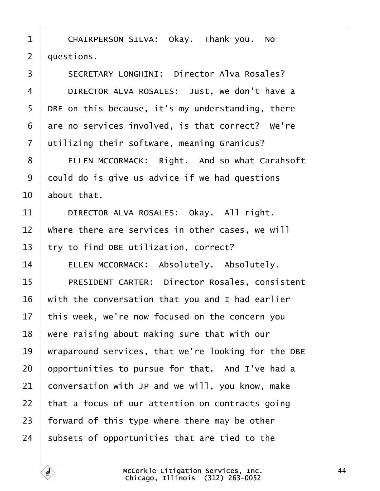<span id="page-43-0"></span>1 | CHAIRPERSON SILVA: Okay. Thank you. No

2 duestions.

- 3 | SECRETARY LONGHINI: Director Alva Rosales?
- 4 | DIRECTOR ALVA ROSALES: Just, we don't have a
- 5 DBE on this because, it's my understanding, there
- 6 are no services involved, is that correct? We're
- 7 dilizing their software, meaning Granicus?
- 8 | ELLEN MCCORMACK: Right. And so what Carahsoft
- 9 dould do is give us advice if we had questions
- 10 about that.
- 11 | DIRECTOR ALVA ROSALES: Okay. All right.
- 12 Where there are services in other cases, we will
- 13 try to find DBE utilization, correct?
- 14 | ELLEN MCCORMACK: Absolutely. Absolutely.
- 15 | PRESIDENT CARTER: Director Rosales, consistent
- 16 with the conversation that you and I had earlier
- 17 this week, we're now focused on the concern you
- 18 were raising about making sure that with our
- 19 wraparound services, that we're looking for the DBE
- 20 by portunities to pursue for that. And I've had a
- 21 conversation with JP and we will, you know, make
- 22 that a focus of our attention on contracts going
- 23 forward of this type where there may be other
- 24 subsets of opportunities that are tied to the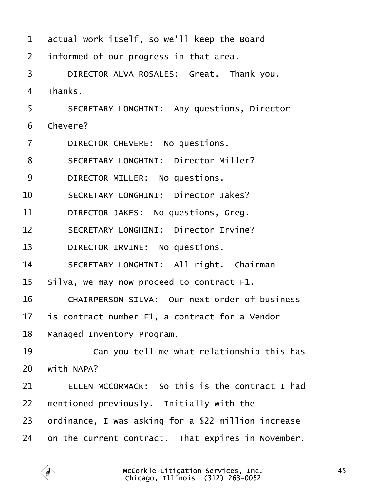- <span id="page-44-0"></span>1 actual work itself, so we'll keep the Board
- 2 informed of our progress in that area.
- 3 | DIRECTOR ALVA ROSALES: Great. Thank you.
- 4 Thanks.
- 5 | SECRETARY LONGHINI: Any questions, Director
- 6 Chevere?
- 7 | DIRECTOR CHEVERE: No questions.
- 8 | SECRETARY LONGHINI: Director Miller?
- 9 | DIRECTOR MILLER: No questions.
- 10 | SECRETARY LONGHINI: Director Jakes?
- 11 | DIRECTOR JAKES: No questions, Greg.
- 12 | SECRETARY LONGHINI: Director Irvine?
- 13 | DIRECTOR IRVINE: No questions.
- 14 | SECRETARY LONGHINI: All right. Chairman
- 15 Silva, we may now proceed to contract F1.
- 16 | CHAIRPERSON SILVA: Our next order of business
- 17 is contract number F1, a contract for a Vendor
- 18 Managed Inventory Program.
- 19 **Can you tell me what relationship this has**
- $20$  with NAPA?
- 21  $\parallel$  ELLEN MCCORMACK: So this is the contract I had
- 22 mentioned previously. Initially with the
- 23 brdinance, I was asking for a \$22 million increase
- 24 on the current contract. That expires in November.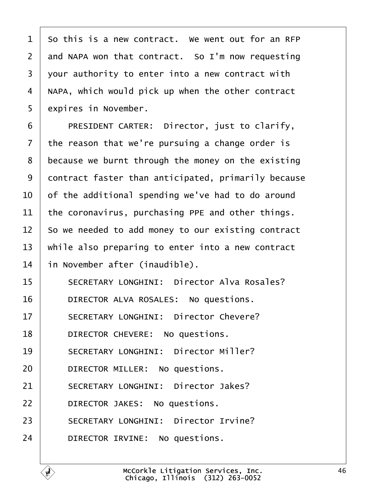<span id="page-45-0"></span>

| 1              | So this is a new contract. We went out for an RFP   |
|----------------|-----------------------------------------------------|
| $\overline{2}$ | and NAPA won that contract. So I'm now requesting   |
| 3              | your authority to enter into a new contract with    |
| 4              | NAPA, which would pick up when the other contract   |
| 5              | expires in November.                                |
| 6              | PRESIDENT CARTER: Director, just to clarify,        |
| 7              | the reason that we're pursuing a change order is    |
| 8              | because we burnt through the money on the existing  |
| 9              | dontract faster than anticipated, primarily because |
| 10             | of the additional spending we've had to do around   |
| 11             | the coronavirus, purchasing PPE and other things.   |
| 12             | So we needed to add money to our existing contract  |
| 13             | while also preparing to enter into a new contract   |
| 14             | in November after (inaudible).                      |
| 15             | <b>SECRETARY LONGHINI: Director Alva Rosales?</b>   |
| 16             | DIRECTOR ALVA ROSALES: No questions.                |
|                |                                                     |
| 17             | <b>SECRETARY LONGHINI: Director Chevere?</b>        |
| 18             | DIRECTOR CHEVERE: No questions.                     |
| 19             | <b>SECRETARY LONGHINI: Director Miller?</b>         |
| 20             | DIRECTOR MILLER: No questions.                      |
| 21             | <b>SECRETARY LONGHINI: Director Jakes?</b>          |
| 22             | DIRECTOR JAKES: No questions.                       |
| 23             | <b>SECRETARY LONGHINI: Director Irvine?</b>         |
| 24             | DIRECTOR IRVINE: No questions.                      |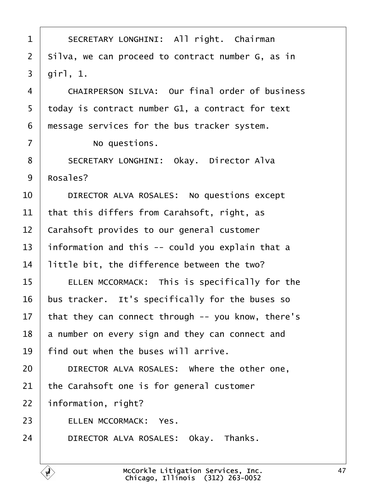<span id="page-46-0"></span>

| 1              | SECRETARY LONGHINI: All right. Chairman               |  |  |
|----------------|-------------------------------------------------------|--|--|
| $\overline{2}$ | Silva, we can proceed to contract number G, as in     |  |  |
| 3              | girl, 1.                                              |  |  |
| 4              | <b>CHAIRPERSON SILVA: Our final order of business</b> |  |  |
| 5              | today is contract number G1, a contract for text      |  |  |
| 6              | message services for the bus tracker system.          |  |  |
| $\overline{7}$ | No questions.                                         |  |  |
| 8              | <b>SECRETARY LONGHINI: Okay. Director Alva</b>        |  |  |
| 9              | Rosales?                                              |  |  |
| 10             | DIRECTOR ALVA ROSALES: No questions except            |  |  |
| 11             | that this differs from Carahsoft, right, as           |  |  |
| 12             | Carahsoft provides to our general customer            |  |  |
| 13             | information and this -- could you explain that a      |  |  |
| 14             | little bit, the difference between the two?           |  |  |
| 15             | ELLEN MCCORMACK: This is specifically for the         |  |  |
| 16             | bus tracker. It's specifically for the buses so       |  |  |
| 17             | that they can connect through -- you know, there's    |  |  |
| 18             | a number on every sign and they can connect and       |  |  |
| 19             | find out when the buses will arrive.                  |  |  |
| 20             | DIRECTOR ALVA ROSALES: Where the other one,           |  |  |
| 21             | the Carahsoft one is for general customer             |  |  |
| 22             | information, right?                                   |  |  |
| 23             | <b>ELLEN MCCORMACK: Yes.</b>                          |  |  |
| 24             | DIRECTOR ALVA ROSALES: Okay. Thanks.                  |  |  |
|                |                                                       |  |  |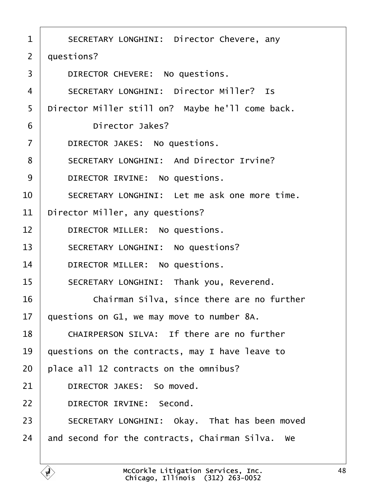<span id="page-47-0"></span>

| 1              | SECRETARY LONGHINI: Director Chevere, any        |  |  |  |  |
|----------------|--------------------------------------------------|--|--|--|--|
| 2              | questions?                                       |  |  |  |  |
| 3              | DIRECTOR CHEVERE: No questions.                  |  |  |  |  |
| 4              | <b>SECRETARY LONGHINI: Director Miller? Is</b>   |  |  |  |  |
| 5              | Director Miller still on? Maybe he'll come back. |  |  |  |  |
| 6              | Director Jakes?                                  |  |  |  |  |
| $\overline{7}$ | DIRECTOR JAKES: No questions.                    |  |  |  |  |
| 8              | <b>SECRETARY LONGHINI: And Director Irvine?</b>  |  |  |  |  |
| 9              | DIRECTOR IRVINE: No questions.                   |  |  |  |  |
| 10             | SECRETARY LONGHINI: Let me ask one more time.    |  |  |  |  |
| 11             | Director Miller, any questions?                  |  |  |  |  |
| 12             | DIRECTOR MILLER: No questions.                   |  |  |  |  |
| 13             | <b>SECRETARY LONGHINI: No questions?</b>         |  |  |  |  |
| 14             | DIRECTOR MILLER: No questions.                   |  |  |  |  |
| 15             | SECRETARY LONGHINI: Thank you, Reverend.         |  |  |  |  |
| 16             | Chairman Silva, since there are no further       |  |  |  |  |
| 17             | questions on G1, we may move to number 8A.       |  |  |  |  |
| 18             | CHAIRPERSON SILVA: If there are no further       |  |  |  |  |
| 19             | questions on the contracts, may I have leave to  |  |  |  |  |
| 20             | place all 12 contracts on the omnibus?           |  |  |  |  |
| 21             | DIRECTOR JAKES: So moved.                        |  |  |  |  |
| 22             | <b>DIRECTOR IRVINE: Second.</b>                  |  |  |  |  |
| 23             | SECRETARY LONGHINI: Okay. That has been moved    |  |  |  |  |
| 24             | and second for the contracts, Chairman Silva. We |  |  |  |  |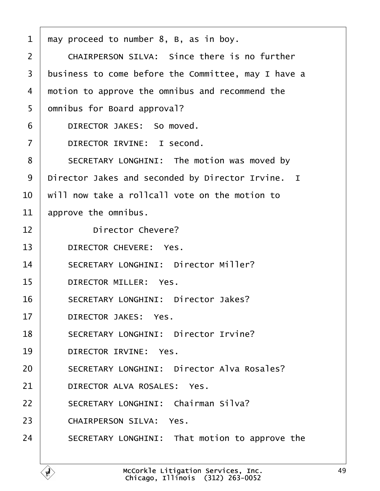<span id="page-48-0"></span>

| 1              | may proceed to number 8, B, as in boy.              |  |  |
|----------------|-----------------------------------------------------|--|--|
| $\overline{2}$ | <b>CHAIRPERSON SILVA: Since there is no further</b> |  |  |
| 3              | business to come before the Committee, may I have a |  |  |
| 4              | motion to approve the omnibus and recommend the     |  |  |
| 5              | dmnibus for Board approval?                         |  |  |
| 6              | DIRECTOR JAKES: So moved.                           |  |  |
| $\overline{7}$ | DIRECTOR IRVINE: I second.                          |  |  |
| 8              | SECRETARY LONGHINI: The motion was moved by         |  |  |
| 9              | Director Jakes and seconded by Director Irvine. I   |  |  |
| 10             | will now take a rollcall vote on the motion to      |  |  |
| 11             | approve the omnibus.                                |  |  |
| 12             | <b>Director Chevere?</b>                            |  |  |
| 13             | DIRECTOR CHEVERE: Yes.                              |  |  |
| 14             | <b>SECRETARY LONGHINI: Director Miller?</b>         |  |  |
| 15             | <b>DIRECTOR MILLER: Yes.</b>                        |  |  |
| 16             | <b>SECRETARY LONGHINI: Director Jakes?</b>          |  |  |
| 17             | <b>DIRECTOR JAKES: Yes.</b>                         |  |  |
| 18             | <b>SECRETARY LONGHINI: Director Irvine?</b>         |  |  |
| 19             | <b>DIRECTOR IRVINE: Yes.</b>                        |  |  |
| 20             | <b>SECRETARY LONGHINI: Director Alva Rosales?</b>   |  |  |
| 21             | DIRECTOR ALVA ROSALES: Yes.                         |  |  |
| 22             | <b>SECRETARY LONGHINI: Chairman Silva?</b>          |  |  |
| 23             | <b>CHAIRPERSON SILVA: Yes.</b>                      |  |  |
| 24             | SECRETARY LONGHINI: That motion to approve the      |  |  |
|                |                                                     |  |  |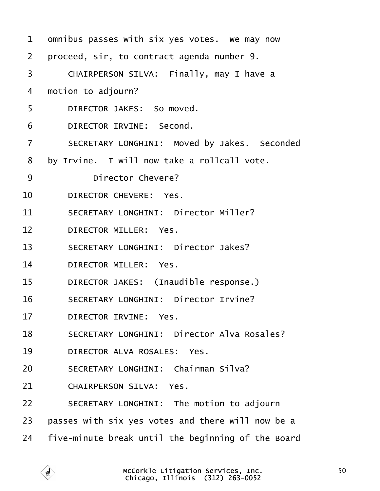<span id="page-49-0"></span>

| 1              | dmnibus passes with six yes votes. We may now      |  |  |  |  |
|----------------|----------------------------------------------------|--|--|--|--|
| 2              | proceed, sir, to contract agenda number 9.         |  |  |  |  |
| 3              | CHAIRPERSON SILVA: Finally, may I have a           |  |  |  |  |
| 4              | motion to adjourn?                                 |  |  |  |  |
| 5              | DIRECTOR JAKES: So moved.                          |  |  |  |  |
| 6              | DIRECTOR IRVINE: Second.                           |  |  |  |  |
| $\overline{7}$ | SECRETARY LONGHINI: Moved by Jakes. Seconded       |  |  |  |  |
| 8              | by Irvine. I will now take a rollcall vote.        |  |  |  |  |
| 9              | <b>Director Chevere?</b>                           |  |  |  |  |
| 10             | DIRECTOR CHEVERE: Yes.                             |  |  |  |  |
| 11             | <b>SECRETARY LONGHINI: Director Miller?</b>        |  |  |  |  |
| 12             | DIRECTOR MILLER: Yes.                              |  |  |  |  |
| 13             | <b>SECRETARY LONGHINI: Director Jakes?</b>         |  |  |  |  |
| 14             | DIRECTOR MILLER: Yes.                              |  |  |  |  |
| 15             | DIRECTOR JAKES: (Inaudible response.)              |  |  |  |  |
| 16             | <b>SECRETARY LONGHINI: Director Irvine?</b>        |  |  |  |  |
| 17             | <b>DIRECTOR IRVINE: Yes.</b>                       |  |  |  |  |
| 18             | <b>SECRETARY LONGHINI: Director Alva Rosales?</b>  |  |  |  |  |
| 19             | DIRECTOR ALVA ROSALES: Yes.                        |  |  |  |  |
| 20             | <b>SECRETARY LONGHINI: Chairman Silva?</b>         |  |  |  |  |
| 21             | <b>CHAIRPERSON SILVA: Yes.</b>                     |  |  |  |  |
| 22             | SECRETARY LONGHINI: The motion to adjourn          |  |  |  |  |
| 23             | passes with six yes votes and there will now be a  |  |  |  |  |
| 24             | five-minute break until the beginning of the Board |  |  |  |  |
|                |                                                    |  |  |  |  |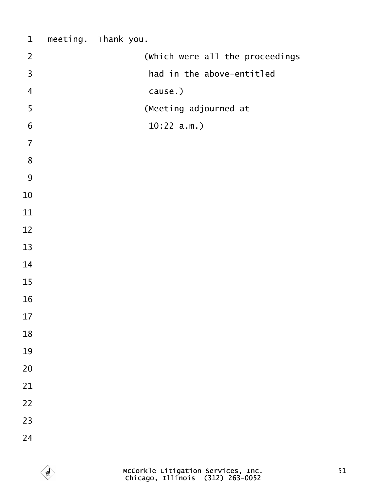<span id="page-50-0"></span>

| $\mathbf 1$             | meeting. Thank you.             |
|-------------------------|---------------------------------|
| $\mathbf{2}$            | (Which were all the proceedings |
| $\mathfrak{S}$          | had in the above-entitled       |
| $\overline{\mathbf{4}}$ | cause.)                         |
| $\overline{5}$          | (Meeting adjourned at           |
| $\,$ 6 $\,$             | $10:22$ a.m.)                   |
| $\overline{7}$          |                                 |
| $\bf 8$                 |                                 |
| $\boldsymbol{9}$        |                                 |
| $10$                    |                                 |
| 11                      |                                 |
| 12                      |                                 |
| 13                      |                                 |
| 14                      |                                 |
| 15                      |                                 |
| 16                      |                                 |
| 17                      |                                 |
| 18                      |                                 |
| 19                      |                                 |
| 20                      |                                 |
| 21                      |                                 |
| 22                      |                                 |
| 23                      |                                 |
| 24                      |                                 |
|                         |                                 |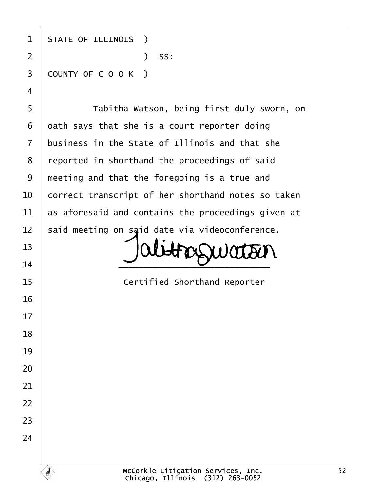| 1                       | <b>STATE OF ILLINOIS</b> )                         |
|-------------------------|----------------------------------------------------|
| $\overline{2}$          | ) SS:                                              |
| $\mathfrak{S}$          | COUNTY OF COOK)                                    |
| $\overline{\mathbf{4}}$ |                                                    |
| 5                       | Tabitha Watson, being first duly sworn, on         |
| 6                       | dath says that she is a court reporter doing       |
| $\overline{7}$          | business in the State of Illinois and that she     |
| 8                       | reported in shorthand the proceedings of said      |
| 9                       | meeting and that the foregoing is a true and       |
| 10                      | correct transcript of her shorthand notes so taken |
| 11                      | as aforesaid and contains the proceedings given at |
| 12                      | said meeting on said date via videoconference.     |
| 13                      |                                                    |
| 14                      |                                                    |
| 15                      | <b>Certified Shorthand Reporter</b>                |
| 16                      |                                                    |
| 17                      |                                                    |
| 18                      |                                                    |
| 19                      |                                                    |
| 20                      |                                                    |
| 21                      |                                                    |
| 22                      |                                                    |
| 23                      |                                                    |
| 24                      |                                                    |
|                         |                                                    |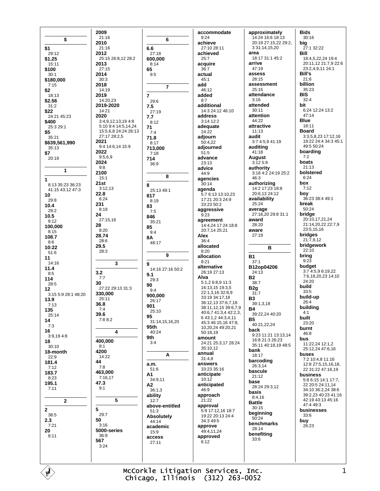|                                      | 2009                                     |                         | accommodate                                 | approximately                          | Bids                                        |
|--------------------------------------|------------------------------------------|-------------------------|---------------------------------------------|----------------------------------------|---------------------------------------------|
| \$                                   | 21:16                                    | 6                       | 9:24                                        | 14:24 16:6 18:13                       | 30:16                                       |
| \$1                                  | 2010<br>21:16                            | 6.6                     | achieve<br>27:10 28:11                      | 20:19 27:15,22 29:2,<br>3 31:14,15,20  | big<br>27:1 32:22                           |
| 29:12                                | 2012                                     | 27:18                   | achieved                                    | area                                   | Bill                                        |
| \$1.25                               | 25:15 26:8,12 28:2                       | 600,000                 | 25:7                                        | 18:17 31:1 45:2<br>arrive              | 18:4,5,22,24 19:4                           |
| 15:11<br>\$100                       | 2013<br>27:15                            | 8:14<br>65              | acquire<br>36:7                             | 47:19                                  | 20:11,12 21:7,9 22:6<br>23:2,4,9,11 24:1    |
| 30:1                                 | 2014                                     | 9:5                     | actual                                      | assess                                 | Bill's                                      |
| \$180,000                            | 30:3<br>2018                             |                         | 45:1<br>add                                 | 28:15<br>assessment                    | 21:6<br>billion                             |
| 7:15<br>\$2                          | 14:19                                    | $\overline{7}$          | 46:12                                       | 25:15                                  | 35:23                                       |
| 18:13                                | 2019                                     | $\overline{7}$          | added                                       | attendance                             | <b>BIS</b>                                  |
| \$2.56                               | 14:20,23<br>2019-2020                    | 29:6                    | 8:7<br>additional                           | 3:16<br>attended                       | 32:4<br>bit                                 |
| 31:2<br>\$22                         | 14:21                                    | 7.5<br>27:19            | 14:3 24:12 46:10                            | 30:11                                  | 6:24 12:24 13:2                             |
| 24:21 45:23                          | 2020                                     | 7.7                     | address                                     | attention                              | 47:14                                       |
| \$400<br>25:3 29:1                   | 3:4,9,12,13,194:8<br>5:10 9:4 14:5,14,24 | 8:12                    | 3:14 12:2<br>adequate                       | 44:22<br>attractive                    | <b>Blue</b><br>18:11                        |
| \$5                                  | 15:5,6,8 24:24 26:13                     | 71<br>7:4               | 24:22                                       | 11:13                                  | <b>Board</b>                                |
| 35:21                                | 27:17 28:2,5                             | 71.8                    | adjourn                                     | audit                                  | 3:3,5,8,23 17:12,16<br>19:22 24:4 34:3 45:1 |
| \$639,561,990<br>35:13               | 2021<br>9:4 14:6,14 15:9                 | 8:17<br>713.000         | 50:4,22<br>adjourned                        | 3:7 4:5,9 41:19<br>auditing            | 49:5 50:24                                  |
| \$7                                  | 2022                                     | 7:18                    | 51:5                                        | 41:18                                  | boarding                                    |
| 20:19                                | 9:5,6,9<br>2024                          | 714                     | advance                                     | August                                 | 7:2<br>boats                                |
|                                      | 9:8                                      | 36:9                    | 23:13<br>advice                             | 3:125:9<br>authority                   | 21:13                                       |
| 1                                    | 2100                                     | 8                       | 44:9                                        | 3:18 4:2 24:19 25:2                    | bolstered                                   |
| 1                                    | 15:1<br>21st                             |                         | agencies                                    | 46:3                                   | 6:24<br>box                                 |
| 8:13 35:23 36:23<br>41:15 43:12 47:3 | 3:12,13                                  | 8<br>25:13 49:1         | 30:14<br>agenda                             | authorizing<br>14:2 17:23 18:8         | 7:12                                        |
| 10                                   | 22.8                                     | 817                     | 5:7 6:13 13:10,23                           | 20:6,13 24:12                          | boy                                         |
| 29:8                                 | 6:24<br>231                              | 8:19                    | 17:21 20:3 24:9<br>33:23 50:2               | availability<br>25:24                  | 36:23 38:4 49:1<br>break                    |
| 10.4<br>29:2                         | 8:19                                     | 83<br>7:5               | aggressive                                  | average                                | 50:24                                       |
| 10.5                                 | 24                                       | 846                     | 9:23                                        | 27:16,20 29:8 31:1                     | bridge                                      |
| 8:12                                 | 27:15,16<br>28                           | 35:21                   | agreement<br>14:4,24 17:24 18:8             | award<br>28:20                         | 20:10,17,21,24<br>21:14,20,22 22:7,9        |
| 100,000<br>8:15                      | 8:20                                     | 85<br>9:4               | 20:7,14 25:21                               | aware                                  | 23:5,15,16                                  |
| 108.7                                | 28.74<br>28:6                            | <b>8A</b>               | Alex<br>36:4                                | 27:19                                  | bridges<br>21:7,9,12                        |
| 8:6                                  |                                          | 48:17                   |                                             |                                        |                                             |
|                                      |                                          |                         |                                             |                                        | bridgework                                  |
| 10:22<br>51:6                        | 29.5<br>28:3                             |                         | allocated<br>8:20                           | в                                      | 22:10                                       |
| 11                                   |                                          | 9                       | allocation                                  | <b>B1</b>                              | bring<br>9:23                               |
| 14:16<br>11.4                        | 3                                        | 9                       | 8:21<br>alternative                         | 37:1<br>B12op04206                     | budget                                      |
| 8:5                                  | 3.2                                      | 14:16 27:16 50:2<br>9.1 | 26:19 27:13                                 | 24:13                                  | 3:7 4:5,9 6:19,22                           |
| 114                                  | 7:7<br>30                                | 29:3                    | Alva<br>5:1,2 6:8,9 11:3                    | <b>B2</b><br>38:7                      | 7:6,18,20,23 14:10<br>24:20                 |
| 28:5<br>12                           | 27:22 29:13 31:3                         | 90<br>9:4               | 16:13,15 19:3,5                             | B <sub>2g</sub>                        | build                                       |
| 3:15 5:9 28:1 48:20                  | 330,000                                  | 900,000                 | 22:1,3,16 32:8,9                            | 31:7                                   | 33:5<br>build-up                            |
| 13.9                                 | 25:11<br>36.8                            | 26:17                   | 33:19 34:17,18<br>36:12,13 37:6,7,18        | <b>B3</b><br>39:1,3,18                 | 26:4                                        |
| 7:13<br>135                          | 7:4                                      | 901<br>25:10            | 38:11,12,15 39:6,7,9                        | Β4                                     | building                                    |
| 25:14                                | 39.6                                     | 95                      | 40:6,7 41:3,4 42:2,3,<br>6 43:1,2 44:3,4,11 | 39:22,24 40:20                         | 4:1<br>built                                |
| 14<br>7:3                            | 7:8 8:2                                  | 31:14,15,16,20          | 45:3 46:15,16 47:8,                         | <b>B5</b><br>40:21,22,24               | 23:20                                       |
| 16                                   | 4                                        | 95th<br>40:24           | 10,20,24 49:20,21<br>50:18,19               | back                                   | burnt<br>46:8                               |
| 3:9,194:8                            |                                          | 9th                     | amount                                      | 9:23 11:21 13:13,14<br>16:8 21:3 26:23 | bus                                         |
| 18<br>30:10                          | 400,000<br>8:1                           | 3:4                     | 24:21 25:3,17 28:24                         | 35:11 40:18,19 48:5                    | 11:22,24 12:1,2                             |
| 18-month                             | 4200                                     |                         | 35:10,12<br>annual                          | bank                                   | 25:12,24 47:6,16<br>buses                   |
| 22:9                                 | 14:22<br>44                              | A                       | 31:4,8                                      | 18:17<br>barcoding                     | 7:2 10:4,8 11:16                            |
| 181.4<br>7:12                        | 7:8                                      | a.m.                    | answers<br>33:23 35:16                      | 26:3,14                                | 12:8 27:5,15,16,18,                         |
| 183.7                                | 463,000                                  | 51:6<br>А1              | anticipate                                  | bascule                                | 22 31:22 47:16,19<br>business               |
| 8:23                                 | 7:16,17<br>47.3                          | 34:9,11                 | 10:12                                       | 21:12<br>base                          | 5:8 6:15 14:1 17:7,                         |
| 195.1<br>7:11                        | 9:1                                      | А2<br>36:1,3            | anticipated<br>46:9                         | 28:24 29:3,12                          | 22 20:5 24:11,14<br>34:10 36:2,24 38:6      |
|                                      |                                          | ability                 | approach                                    | basis<br>8:4,16                        | 39:2,23 40:23 41:16                         |
| $\mathbf{2}$                         | 5                                        | 12:7                    | 21:22                                       | <b>Battle</b>                          | 42:19 43:13 45:16                           |
| $\mathbf{2}$                         | 5                                        | above-entitled<br>51:3  | approval<br>5:9 17:12,16 18:7               | 30:15                                  | 47:4 49:3<br>businesses                     |
| 38:5                                 | 29:7                                     | <b>Absolutely</b>       | 19:22 20:13 24:4                            | beginning<br>50:24                     | 33:6                                        |
| 2.3<br>7:21                          | 50<br>3:16                               | 44:14                   | 34:3 49:5                                   | benchmarks                             | buy<br>26:23                                |
| 20                                   | 5000-series                              | academic<br>15:9        | approve<br>49:4,11,24                       | 28:14                                  |                                             |
| 8:11                                 | 36:9                                     | access                  | approved                                    | benefiting<br>33:6                     |                                             |
|                                      | 567<br>3:24                              | 27:11                   | 6:12                                        |                                        |                                             |
|                                      |                                          |                         |                                             |                                        |                                             |

McCorkle Litigation Services, Inc.<br>Chicago, Illinois (312) 263-0052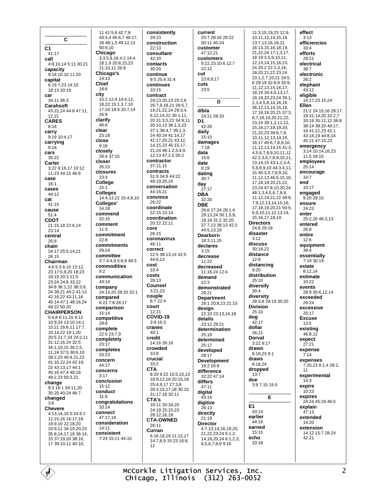$\mathbf c$  $C<sub>1</sub>$ 41:17 call 4:8,10,14 5:11 30:21 capacity 9:18 10:10 11:20 capital 6:19 7:23 14:10 18:13 20:19 car 34:11 36:3 Carabsoft 43:22,24 44:8 47:11, 12.21 **CARES**  $8:18$ carry 9:19 10:4,17 carrying  $9:18$ cars  $35.22$ Carter 3.22 9.16 17 10:12 11:23 44:15 46:6 case  $16:1$ Cases 44:12 cat  $41:15$ cause  $51.4$ **CDOT** 21:15.18 22:6.14  $23.14$ central  $25:9$ chain 24:17 25:5 14 21  $26.15$ Chairman 4:6 5:3 6:10 13:12, 23 17:5,9,20 18:23 19:19 20:3 21:5 23:24 24:8 33:22 34:8 36:1,22 38:3,9, 24 39:21 40:2 41:13 42:16 22 43:11 16 45:14 47:1 48:16.24  $49.2250.20$ **CHAIRPERSON** 5:4,8 6:11,15 9:12 10:9,24 13:10 14:1 15:21 16:6.11 17:7. 10,14,22 19:1,20 20:5 21:7,24 24:2,11 31:12,16,24 32:5 34:1.10.15 36:2.5 11,24 37:5 38:6,10 39:2.23.40:4.21.23 41:16.22.24 42:19. 23 43:13,17 44:1  $45.16$   $47.4$   $48.18$ 49:2.23 50:3.21 change 9:3 16:1 34:11,20 35:20 40:24 46:7 changed  $3.6$ **Chevere** 4:13,14,16 5:24 6:1 12:15,16 16:17,18 19:9,10 22:18,20 33:9,11 34:19,20,23 35:8, 14, 17, 18 36:14, 15 37:19,20 38:16, 17 39:10,11 40:10,

11 41:5.6 42:7.8 43:3,4 45:6,7 46:17, 18 48:1.3 49:12.13 50:9,10 Chicago  $3:3.5.8.184:2.14:4$ 18:1.9 20:8.15.23 21:10.11 26:9 Chicago's  $14:13$ **Chief**  $18.6$ city 10:2 12:4 14:4.12. 18,22 15:1,3,7,10 17:24 18:9 20:7,14  $26:9$ clarify  $46.6$ clear  $23.18$ close  $9:18$ closely 28:4 37:15 closer 35:23 closures  $23:3$ College  $15:1$ **Colleges** 14:4, 13, 22 15:4, 8, 10 Colleges'  $14.18$ commend  $32:15$ comment  $11:3$ commitment  $22.8$ commitments 29:24 committee 3:7 4:4.9 5:6.9 49:3 commodities  $9:2$ communication  $43.14$ company 24:14,20 28:20 32:1 compared 6:21 7:8 28:17 comparison  $15:14$ competitive  $29:8$ complete 22:5 23:7,9 completely  $23.17$ completes 33:23 concern 44:17 concerns  $3.17$ conclusion 15:12 conduct  $31:8$ congratulations 33:14 connect 47:17.18 consideration  $14.11$ consistent 7:24 15:11 44:15

consistently 29:23 construction  $22.13$ consultant  $42.20$ contacts 30:20 continue  $9.5254314$ continues 10:15 contract 24:13,20,23 25:2,8 26.7918212857 19.21,22,24 29:3,4, 6 12 14 22 30 1 11 20 31:3.5.22 34:9.11 35:10 13 36:1 3 23 37:1 38:4,7 39:1,3, 24 40:24 41:14 17 42:17,20,21 43:12, 14, 15, 23 45: 15, 17, 21,24 46:1,2,3,4,9, 12,13 47:2,5 50:2 contractor  $37:11.15$ contracts 31:9 34:9 44:22 48:19.20.24 conversation 44:16,21 convince  $26.22$ coordinate 22:15 23:14 coordination 20:22 22:11 core 26:15 coronavirus 46:11 correct 22:5 38:13,14 42:5  $44.613$ cost  $33:4$ costs 28:13 Counsel 3:21.23 couple  $8:722:4$ court  $12:21$  $COVID-19$  $3:915:3$ cranes  $40:1$ credit  $14.1626.16$ crowded  $10:8$ crucial  $33.2$ **CTA** 8:20 9:22 15:5,10,13 18:9,12,18 20:15,18 25:4,9,17 27:3,8 28:3,15,17,18 30:10 31:17,18 32:11 CTA's 18:11 20:16.20 24:19 25:15 23 28:12 16 18 **CTA-OWNED**  $26:11$ Curran 6:16,18,19 11:12,17 14:7.8.9 15:23 16:8. 12

current 25:7 28:16 29:22 30:11 45:24 customer 47:12.21 customers 9:22,23 10:6 12:7  $22:12$ cut 23:8,9,17 cuts  $23:5$ D  $d/b/a$ 24:21 28:20 D<sub>1</sub>  $42.20$ daily  $15:10$ damages  $7:18$ data  $15.6$ date  $8:19$ dating  $30:7$ day  $27.17$ **DBA**  $32.20$ **DBE** 26:6 27:24 28:1.4 29:13.24.30:1.5.9 18 19 31 2 32 20 37:7 13 38:13 42:3  $44.51319$ Dearborn 18:3,11,15 declares  $3.15$ decrease 11:22 decreased  $11.162412.4$ demand  $12.3$ demonstrated 29:21 **Department** 18:1 20:8.23 21:10 design 22:10 23:13,14,18 details 23:12 29:21 determination  $25.19$ determined 25:17 developed 28:17 **Development** 18:2 20:9 difference 32:22 47:14 differs  $47:11$ digital 43:14 digitize  $26:13$ directly  $21.19$ **Director** 4:7,13,14,16,19,20, 21,22,23,24 5:1,2, 14, 18, 20, 24 6: 1, 2, 3, 4,5,6,7,8,9 9:16

11:3.15.19.23 12:9. 10, 11, 12, 14, 15, 16 13:7,13,16,18,21 16:13,15,16,18,19, 21,22,24 17:1,3,17, 18 19:3,5,9,10,11, 12.13.14.15.16.23. 24 20:2 22:1 3 16 18,20,21,22,23,24 23:1 2 7 10 21 24:5 6.29:19.32:8.9.33:9 11.12.13.15.16.17. 18, 19 34: 4, 5, 13, 17, 18.19.20.23.24 35:1. 2, 3, 4, 5, 8, 14, 16, 18 36:12,13,14,15,16, 17, 18, 19, 20, 21 37: 3, 6,7,18,19,20,21,22, 23,24 38:1,2,11,12, 15, 16, 17, 18, 19, 20, 21,22,23 39:6,7,9, 10,11,12,13,14,15, 16,17 40:6,7,8,9,10, 11, 12, 13, 14, 15 41:3, 4.5.6.7.8.9.10.11.12 42:2,3,6,7,8,9,10,11,  $13, 14, 15, 43, 1, 2, 3, 4$ 5.6.8.9.10 44:3.4.11. 15 45:3,5,7,8,9,10, 11, 12, 13 46: 6, 15, 16, 17.18.19.20.21.22 23,24 47:8,10,20,24 48:1,3,4,5,6,7,8,9, 11, 12, 14, 21, 22 49: 6, 7,9,12,13,14,15,16, 17, 18, 19, 20, 21 50:5, 6.9.10.11.12.13.14. 15, 16, 17, 18, 19 **Directors**  $24.829.18$ disaster  $3:12$ discuss 30:18,22 distance  $12:8$ distancing  $9:20$ distribution  $25:10$ diversify  $30:4$ diversity 28:3,8 29:19 30:20 **Division**  $25:10$ dog  $42.17$ dollar  $26.21$ Dorval  $3.229 - 17$ drawn  $8.192391$ draws  $8.1824$ dropped  $13:7$ due 3:9 7:15 15:5 Е E1  $43.14$ earlier 44:16 earned  $15:15$ echo 33:18

effect  $3:13$ efficiencies  $33.4$ efforts  $29.21$ electrical 38:7 electronic  $26.2$ elephant  $43:12$ eligible 14:17,23 15:24 Ellen 21:2 24:15,16 29:17, 19 31:14.20 32:2.7 33:19 35:11,12 36:8 38:14 39:20 40:17, 18 41:21,23 42:1 43:18,19 44:8,14 45:21 47:15.23 emergency 3:14 10:14, 16, 23  $11:5 18:15$ employees  $25:14$ encourage  $10:7$ end  $10.17$ engaged  $9:20$  28:15 ensure  $24.22$ enter 25:2,20 46:3,13 entered  $26.8$ entire  $12.6$ equipment  $39:4$ essentially  $7:19.30:19$ estate  $8:12,14$ estimate  $10.22$ events 28:9 30:6.12,14 exceeded  $29.24$ excessive  $25:17$ **Fxcuse**  $13:5$ existing  $46:8,12$ expect  $27.21$ expense  $7:14$ expenses 7:20,23 8:1,4 29:1, 11 experimental  $14.3$ expire  $10.23$ expires 24:24 45:24 46:5 explain 47:13 extended  $14.20$ extension 14:12 15:7 28:24  $42.21$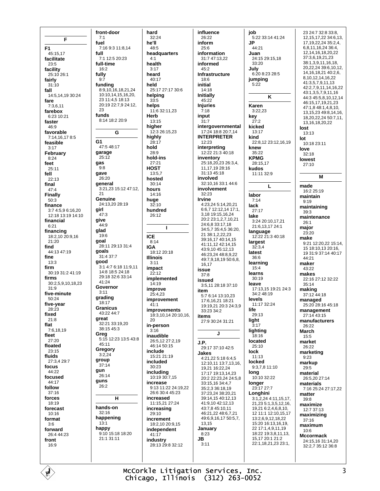F F<sub>1</sub> 45:15,17 facilitate  $23.5$ facility 25:10 26:1 fairly  $31:10$ fall 14:5.14.19 30:24 fare  $7:3.6.11$ farebox 6:23 10:21 faster  $46.9$ favorable 7:14,16,178:5 feasible  $3:17$ February  $8:24$ feet  $25:11$ fell  $22.13$ final  $47.4$ Finally  $50:3$ finance 3:7 4:5.9 6:16 20 12:18 13:19 14:10 financial  $6:21$ financing  $18.210\,20.916$  $21:20$ find 44:13 47:19 fine  $13:3$ firm  $30.193124119$ firms 30:2,5,9,10,18,23  $31:9$ five-minute  $50.24$ five-year  $28.23$ fixed  $21.8$ flat 7:6,18,19 fleet  $27:20$ floated  $23.15$ fluids 27:3,4 29:7 focus 44:22 focused 44:17 follow  $37:16$ forces  $18:19$ forecast 10:16 format  $3:6$ forward 26:4 44:23 front  $16:9$ 

front-door  $7:1$ fuel 7:16.9:3.11:8.14 full  $7.112.520.23$ full-time 16:2 fully  $9.7$ funding 8:9,10,16,18,21,24 10:10.14.15.16.20, 23 11:4,5 18:13 20:19 22:7,9 24:12, 23 funds 8:14 18:2 20:9 G G<sub>1</sub> 47:5 48:17 garage  $25:12$ gas  $Q \cdot R$ gave 26:20 general 3:21,23 15:12 47:12,  $21$ Genuine 24:13,20 28:19 girl  $47.3$ give  $44.9$ glad 19:6 goal 28:11 29:13 31:4 goals 31:4 37:7 good 3:1 4:7 6:18 11:9,11 14.8 18:5 24:18 29:18 32:6 33:14 41:24 Governor  $3.11$ grading 18:17 **Granicus**  $43.2244.7$ great 32:21 33:19,20 38:15 45:3 Greg 5:15 12:23 13:5 43:8 45:11 Gregory  $3:2.24$ group 37:14 gun  $26.14$ guns  $26:2$ н hands-on  $32:16$ happening  $13.1$ happy 9:10 15:18 18:20 21:1 31:11

hard 32:24  $48:5$ headquarters health  $3:17$ heard  $40.17$ held 25:17 27:17 30:6 helping  $33:5$ helps 11:6 32:11,23 Herb 13:15 hiaher  $12.326.1523$ highly  $28.17$ 28:9 hold-ins  $27.21$ **HOST** 13:5,7 hosted  $30.14$ hours  $14:16$ huge  $32:10$ hundred  $26.12$  $\mathbf{I}$  $8:14$ 18:12 20:18 **Illinois**  $3:11$ impact  $22:12$ implemented  $14:19$ improve 25:4.23 improvement  $41:1$ **improvements** 18:3.10.14 20:10.16. in-person  $3:16$ inaudible 26:5.12 27:2.19 46:14 50:15 include 15:21 21:19 included  $30:23$ including 10:19 30:7.15 increase 9:13 11:22 24:19,22 26:6 30:4 45:23 increased 11:15.21 27:24 increasing  $29.10$ increment 18:2,10 20:9,15 independent  $41.17$ industry 28:13 29:8 32:12

he'll

 $4.1$ 

hold

**ICE** 

**IGA** 

 $20$ 

influence 26:22 inform  $25.6$ information  $31.747.1322$ informed 45:2 Infrastructure  $18.6$ initial 14:18 Initially 45:22 **Injuries**  $7:18$ input  $31:7$ intergovernmental 17:24 18:8 20:7,14 INTERPRETER 12:23 interpreting 12:22 21:3 40:18 inventory 25:18,20,23 26:3.4. 11.17.19 28:16 31:13 45:18 involved 32:10,16 33:1 44:6 involvement  $32.23$ Irvine 4:23,24 5:14,20,21 6:6,7 12:12,14 17:1, 3,18 19:15,16,24 20:2 23:1,2,7,10,21 24:6,8 33:17,18 34:5,7 35:4,5 36:20, 21 38:1.2.22.23 39:16,17 40:14,15 41:11.12 42:14.15 43:9 10 45:12 13 46:23.24 48:8.9.22 49:7.9.18.19 50:6.8. 16 17 issue  $37:8$ heussi 3:5.11 28:18 37:10 item 5:7 6:14 13:10,23 17:6.16.21 18:21 19:19,21 20:3 24:3,9 33:23 34:2 items 27:9 30:24 31:21  $\mathbf{I}$ J.P. .. .<br>29:17 37:10 42:5 Jakes 4:21,22 5:18 6:4,5 12:10,11 13:7,13,16, 19,21 16:22,24 17:17 19:13.14.23 20:2 22:23,24 24:5,8 33:15,16 34:4,7 35:2.3 36:18.19 37:23,24 38:20,21 39:14 15 40:12 13 41:9 10 42:12 13 43:7.8 45:10.11 46:21.22 48:6.7.21 49:6.9.16.17 50:5.7. 13.15 January  $8:23$ JB.  $3:11$ 

job 5:22 33:14 41:24 **JP**  $44.21$ Juan 24:15 29:15,18  $33.20$ July  $6:208:2328:5$ jumping  $5.22$ K Karen  $3:22.23$ kev  $27:2$ kicked  $13.17$ kind 22:8,12 23:12,16,19 knew  $35.22$ **KPMG** 28:15,17 kudos  $11.1132.9$  $\mathbf{L}$ labor  $7.14$ lack  $27:17$ lake 3:24 20:10,17,21 21:6,13,17 24:1 language 12:22 21:3 40:18 largest  $32:3.4$ latest  $36:6$ learning  $15.4$ learns  $30.19$ leave  $17.13$  15 19.21 24.3 34:2 48:19 levels 11:17 32:24 life 29:13 light  $3:17$ lighting 18:16 located  $25:10$ lock  $11:13$ locked 9:3.7.8 11:10 long 10:10 32:22 longer 23:17 27:7 Longhini  $3.12244.111517$ 21.23 5:1.3.5.12.16. 19 21 6 2 4 6 8 10 12 11:1 12:10,15,17  $13.269121822$ 15:20 16:13,16,19, 22 17:1,4,9,11,19 18:22 19:3,8,11,13, 15,17 20:1 21:2 22:1.18.21.23 23:1.

23.24.7.32.8.33.8 12, 15, 17, 22 34: 6, 13, 17.19.22.24 35:2.4. 6,8,11,16,24 36:4, 12, 14, 16, 18, 20, 22 37:3,6,19,21,23 38:1, 3, 9, 11, 16, 18, 20 22 24 39 6 10 12 14, 16, 18, 21 40: 2, 6, 8 10 12 14 16 22 41:3.5.7.9.11.13 42:2.7.9.11.14.16.22 43:1,3,5,7,9,11,16 44:3 45:5,8,10,12,14 46:15.17.19.21.23 47:1,8 48:1,4,8,10, 13, 15, 23 49: 8, 14, 16, 18,20,22,24 50:7,11, 13, 16, 18, 20, 22 lost  $13:13$ lot  $10.1823.11$ love  $32:18$ lowest  $27.10$ M made 16:2 25:19 maintain  $9:19$ maintaining  $39.3$ maintenance  $26:1$ major  $23:20$ make 9:21 12:20,22 15:14, 15 18:10 13 20:16 19 31:9 37:14 40:17 44:21 maker  $43.22$ makes 22:16 27:12 32:22  $35:14$ making 37:12 44:18 managed 25:20 28:16 45:18 management  $27.1443.15$ manufacturers 26:22 March  $15:5$ market 26:22 marketing  $9.23$ markup  $29:5$ material 26:5,20 27:14 materials  $7:1625:2427:17.22$ matter 39:8 maximize 12:7 37:13 maximizing  $37.16$ maximum  $10:6$ **Mccormack** 24:15 16 31:14 20 32:2,7 35:12 36:8

McCorkle Litigation Services, Inc. Chicago, Illinois (312) 263-0052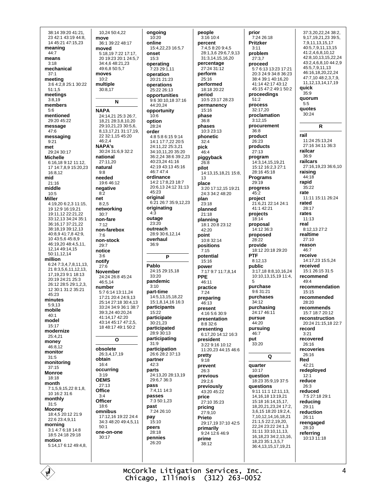38:14 39:20 41:21. 23 42:1 43:19 44:8, 14 45:21 47:15.23 meaning  $44.7$ means  $3.18$ mechanical  $37.1$ meeting 3:6 4:2,8 25:1 30:22  $51:1,5$ meetings  $3:8.19$ members  $5:6$ mentioned 29:20 45:22 message 47:6 messaging  $9.21$ met 29:24 30:17 **Michelle** 6:16.18 9:12 11:12. 17 14:7.8.9 15:20.23 16:8.12 mid  $21:16$ middle  $10:5$ **Miller** 4:19,20 6:2,3 11:15, 19 12:9 16:19.21 19:11,12 22:21,22 33:12,13 34:24 35:1 36:16,17 37:21,22 38:18,19 39:12,13 40:8,9 41:7,8 42:9, 10 43:5,6 45:8,9 46:19,20 48:4,5,11, 12,14 49:14,15 50:11,12,14 million 6:24 7:3.4.7.8.11.13. 21 8:3,5,6,11,12,13, 17, 19, 23 9:1 18: 13 20:19 24:21 25:3 26:12 28:5 29:1,2,3, 12 30:1 31:2 35:21 45:23 minutes 5:9.13 mobile  $40:1$ model 15:17 modernize 25:4.21 money 46:8,12 monitor  $31:5$ monitoring  $37.15$ **Monroe** 18:18 month  $7:1.5.9.15.228.1.8$ 10 16:2 31:6 monthly  $31:5$ **Mooney** 18:4,5 20:12 21:9 22:6 23:4,9,11 morning 3:1 4:7 6:18 14:8 18:5 24:18 29:18 motion  $5:14176:1249:48$ 

10,24 50:4,22 move 36:1 39:22 48:17 moved 5:18.19 7:22 17:17 20 19:23 20:1 24:5.7 34:4,6 48:21,23 49:6,8 50:5,7 moves  $10:2$ multiple  $30:8,17$  $\mathbf N$ **NAPA** 24:14,21 25:3 26:7, 18,21 28:3,8,10,20 29:10.21.23 30:5.6. 8.13.17.21 31:17.19. 22 32:1,15 45:20 46:2,4 NAPA's 30:24 31:6.9 32:2 national 27:11,20 natural  $9:8$ needed 19:6 46:12 negative  $8:2$ net  $8.25$ networking  $30:7$ non-fare  $7:12$ non-farehox  $7.6$ non-stock  $29:7$ notice  $3.6$ notify  $27.6$ **November** 24:24 26:8 45:24 46:5.14 number 5:7 6:14 13:11 24 17:21 20:4 24:9.13 25:14 27:18 30:4,13 33:24 34:9 36:1 38:7 39:3,24 40:20,24 41:14,17 42:20 43:14 45:17 47:2 5 18 48:17 49:1 50:2  $\mathbf{o}$ obsolete 26:3.4.17.19 obtain  $16:4$ occurring  $3:19$ **OEMS**  $27.13$ Office  $3:4$ Officer 18:6 omnibus 17:12,16 19:22 24:4 34:3 48:20 49:4.5.11  $50.1$ one-on-one 30:17

ongoing  $10:20$ online 15:4.22.23 16:5.7 onset  $15:3$ operating 7:23 29:1,11 operation  $20.2121.23$ operations 25:22 26:13 opportunities 9:6 30:10,18 37:16  $44.2024$ opportunity  $10.6$ option  $28.24$ order  $4.85.8615914$ 14:1 17:7.22 20:5 24:11.22 25:3.21 34:10,11,20 35:20 36:2.24 38:6 39:2.23 40:23.24 41:16 42:19 43:13 45:16 46:7 47:4 ordinance 14:2 17:8,23 18:7 20:6 13 24:12 31:13 45:23 original 6:21 26:7 35:9,12,23 originating  $4:3$ outage  $23.20$ outreach 28:9 30:6,12,14 overhaul  $36.9$ D Pablo 24:15 29:15.18  $33.20$ pandemic  $3:10$ part-time 14:5.13.15.18.22 15:1 8 14 16 16:3 participants 15:22 participate 30:21.23 participated  $28.9.30.13$ participating  $31:9$ participation 26.6.28.2.37.13 partner  $42:3$ parts 24:13,20 28:13,19 29:6.7 36:3 pass  $7:4.1114:3$ passes  $7:350:123$ past 7:24 26:10 pay  $15:10$ peers  $28.18$ pennies 26:20

people 3:16 10:4 percent 7:4,5 8:20 9:4,5 28:1.3.6 29:6.7.9.13  $31:314151620$ percentage 27:24 31:12 perform  $25.16$ performed 18:18 20:22 period 10:5 23:17 28:23 permanency  $15:16$ phase 36:8 phases 10:3 23:13 phonetic  $32.4$ pick  $46:4$ piggyback  $26.8$ pilot 14:13,15,18,21 15:8,  $13$ place 3:20 17:12,15 19:21 24:3 34:2 48:20 plan  $23.18$ planned 21:18 planning  $18:120:823:12$  $42:20$ point 10:8 32:14 positions  $7:15$ potential  $15.16$ power 7:17 9:7 11:7,8,14 PPE  $46.11$ practice  $7:24$ preparing  $46:13$ present 4:16 5:6 30:9 presentation 8:8 32:6 presenting 6:17,20 14:12 16:3 president  $3.229.1610.12$ 11:20,23 44:15 46:6 pretty  $9.18$ prevent  $26.3$ previous 29:2,6 previously 43:20 45:22 price 27:10 35:23 pricing  $27:9,10$ Prieto 29:17 19 37:10 42:5 primarily 9:24 12:6 46:9 prime 38:12

prior 7:24 26:18 **Pritzker**  $3:11$ problem  $27:3.7$ proceed 5:7 6:13 13:23 17:21 20:3 24:9 34:8 36:23 38:4 39:1 40:16,20 41:14 42:17 43:12 45:15 47:2 49:1 50:2 proceedinas  $51.2$ process 32:17,20 proclamation  $3.1215$ procurement 36:8 product 26:23 products  $27:13$ program 14:3,14,15,19,21 15:12 16:2,3 27:1 28:16 45:18 Programs  $29.19$ progress 45:2 project 21:6.21 22:14 24:1  $41.142.21$ projects 18:14 proposal 14:12 36:3 proposed  $28.22$ provide 18:12 20:18 29:20 PTF  $8:12.13$ public 3:17,18 8:8,10,16,24 10:10,13,15,19 11:4,  $\sqrt{2}$ purchase 9:6 31:21 purchases  $34.12$ purchasing 24:17 46:11 pursue  $44.20$ pursuing 46:7 put  $33.20$ Q quarter  $10.17$ **auestion** 18:23 35:9,19 37:5 questions 9:11 11:1 12:11,13, 14, 16, 18 13: 19, 21 15:18 16:14,15,17, 18.20.21.23.24 17:2. 361518201924 7.10.12.14.16,18,21 21:1.5 22:2.19.20. 22,24 23:22 24:1,3 31:11 33:10.11.13. 16, 18, 23 34: 2, 13, 16, 18,23 35:1,3,5,7 36:4,13,15,17,19,21

37:3.20.22.24 38:2. 9,17,19,21,23 39:5, 7,9,11,13,15,17 40:5,7,9,11,13,15 41:2,4,6,8,10,12 42:8,10,13,15,22,24 43:2.4.6.8.10 44:2.9 45.5791113 46:16.18.20.22.24 47.7 10 48.2 3 7 9 11.12.13.14.17.19 quick 35:9 quorum  $5.5$ quotes 30:24 R rail 11:24 25:13,24 27:16 34:11 36:3 railcar  $36.9$ railcars 27:16,19,23 36:6,10 raising 44:18 rapid  $35:22$ rate 11:11 15:11 26:24 rated  $28:17$ rates  $11:13$ real 8:12,13 27:2 realtime  $27.10$ reason 46:7 receive 14:17,23 15:5,24 received 15:1.26:15.31:5 recommend  $49.4$ recommendation  $15:15$ recommended 28:20 recommends 15:7 18:7 20:12 reconstruction 20:24 21:15,18 22:7 record  $3.21$ recovered  $26:16$ recoveries  $26.16$ Red  $42:21$ redenloved  $12.1$ reduce  $26:3$ reduced 7:5 27:18 29:1 reducing 29:11 reduction 26:11 reengaged 28:10 referring 10:13 11:18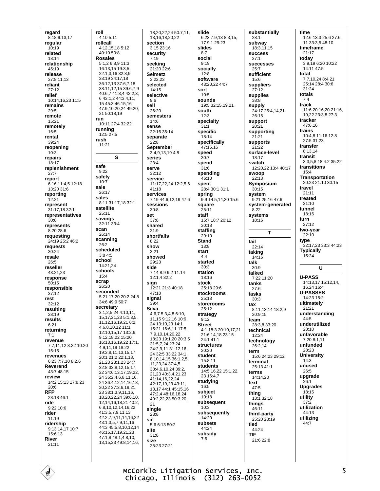regard 8:18 9:13,17 regular  $10.19$ related  $18.14$ relationship 45:19 release  $37.81113$ reliant  $27:12$ relief 10:14,16,23 11:5 remains 29:5 remote 15:21 remotely  $16:5$ rental 39:24 reopening  $10:3$ repairs  $18.17$ replenishment  $27:7$ report  $6:16$  11:4.5 12:18 13:20 31:6 reportina  $12.21$ represent 31:17,18 32:1 representatives  $30.8$ represents  $8:2028:6$ requesting 24:19 25:2 46:2 requests  $30:24$ resale  $26:5$ reseller  $43.2123$ response  $50:15$ responsible  $37:12$ rest  $32.12$ resulting 28:19 results  $6.21$ returning  $7:1$ revenue 7:7,11,12 8:22 10:20  $15:15$ revenues 6:23 7:7.10 8:2 6 **Reverend** 43:7 48:15 review 14:2 15:13 17:8.23  $20.6$ **RFP** 28:18 46:1 ride 9:22 10:6 rider  $11.19$ ridership 9:13,14,17 10:7 15:6,13 **River**  $21:11$ 

roll 4:10 5:11 rollcall  $4.12$  15 18 5.12 49:10 50:8 **Rosales** 5:1,2 6:8,9 11:3 16:13,15 19:3,5 22:1,3,16 32:8,9 33:19 34:17,18 36:12.13 37:6.7.18 38:11, 12, 15 39:6, 7, 9 40:6,7 41:3,4 42:2,3, 6 43:1,2 44:3,4,11, 15 45:3 46:15,16 47.9 10 20 24 49.20 21 50:18.19 run 10:11 27:4 32:22 running 12:5 27:5 rush  $11.21$  $\mathbf{s}$ safe  $9:22$ safely 10:7 sale  $26:17$ sales 8:11 31:17,18 32:1 satellite 25:11 savings 32:11 33:4 scan  $26.14$ scanning  $26.2$ scheduled  $3.84.5$ school 14:21.24 schools  $15.4$ scran  $26:20$ seconded 5:21 17:20 20:2 24:8  $34.649.950.7$ secretary  $3:1,2,5,24$  4:10,11, 15, 17, 21, 23 5: 1, 3, 5, 11, 12, 16, 19, 21 6: 2, 4.6.8.10.12 11:1 12:10,15,17 13:2,6, 9,12,18,22 15:20 16:13.16.19.22 17:1. 4.9.11.19 18:22 19:3,8,11,13,15.17  $20.121.222.118$ 21.23 23:1.23 24:7 32:8 33:8,12,15,17. 22 34:6.13.17.19.22 24 35:2.4.6.8.11.16. 24 36:4,12,14,16,18, 20,22 37:3,6,19,21, 23 38:1,3,9,11,16, 18,20,22,24 39:6,10, 12, 14, 16, 18, 21 40: 2, 6,8,10,12,14,16,22 41:3,5,7,9,11,13 42:2,7,9,11,14,16,22 43:1,3,5,7,9,11,16 44:3 45:5,8,10,12,14 46:15,17,19,21,23 47:1.8 48:1.4.8.10. 13 15 23 49 8 14 16

18.20.22.24 50:7.11. 13, 16, 18, 20, 22 section  $3:15.23:16$ security  $7.19$ seeking 21:20 22:6 **Seimetz**  $3.2223$ selected 14:15 selective  $9:6$ sell 26:20 semesters 14:6 sense 22:16 35:14 separate  $22.8$ September 3:4.9.13.19 4:8 series  $23.4$ serve 32:12 service  $11:17.22.24$  12:2.5.6  $41:18$ **services** 7:19 44:6.12.19 47:6 sessions  $30:8$ set  $37.8$ shared  $21:9$ shortfalls  $8.22$ show  $3:21$ showed  $29.23$ side 7:14 8:9 9:2 11:14 12:1.4 32:2 sian 12:21 21:3 40:18  $47:18$ sianal  $39.4$ Silva 4:6,7 5:3,4,8 6:10, 11,15 9:12,16 10:9, 24 13:10,23 14:1 15:21 16:6.11 17:5. 7,9,10,14,20,22 18:23 19:1,20 20:3,5 21:5,7,24 23:24 24:2.9.11 31:12.16. 24 32:5 33:22 34:1 8,10,14,15 36:1,2,5, 11 23 24 37 4 5 38:4 6 10 24 39:2 21,23 40:3,4,21,23 41:14.16.22.24 42:17 19 23 43:11 13 17 44 1 45 15 16 47:2,4 48:16,18,24 49:2.22.23 50:3.20  $21$ single  $23:8$ sir  $5.661350.2$ site  $31:8$ size 25:23 27:21

slide 6:23 7:9,13 8:3,15, 17 9:1 29:23 slides  $R-7$ social  $9:19$ socially  $12.8$ software  $43.202244.7$ sort  $10.5$ sounds 19:5 32:15.19.21 south  $12.3$ specialty  $31:1$ specific  $18.14$ specifically 47:15.16 speed  $30-7$ spend  $31:6$ spending  $46:10$ spent 28:4 30:1 31:1 spring 9:9 14:5,14,20 15:6 square  $25:11$ staff 15.7 18.7 20.12  $30.18$ staffing  $29:10$ **Stand**  $13.8$ start  $4.4$ started  $30:3$ station  $18.16$ stock 25:18 29:6 stockrooms  $25:13$ storerooms  $25:12$ strategy  $9.12$ **Street** 4:1 18:3 20:10 17 21 21:6 14 18 23:15  $24.141.1$ structures 20:20 student  $15.811$ students 14:5, 16, 22 15:1, 22, 23 16:4,7 studying  $16:5$ subject  $10:18$ subsequent  $10:3$ subsequently  $14:20$ subsets 44:24 subsidy  $7:6$ 

substantially  $28:1$ subway 18:3 11 15 **SUCCeSS**  $27.1$ **SUCCeSSeS**  $25:7$ sufficient  $15.6$ suppliers  $27:12$ supplies 38:8 supply 24:17 25:4,14,21  $26.15$ support 20:21 supporting supports  $21:22$ surface-level  $18.17$ switch 12:20.22 13:4 40:17 swoop  $22:13$ Symposium  $30:15$ system 9:21 25:16 47:6 system-generated  $8:22$ systems  $18.16$  $\mathbf{T}$ tail  $22.14$ taking 14:16 talk  $30.9$ talked  $7.2211.20$ tanks  $27.6$ tasks  $30:3$ tax 8:11.13.14 18:2.9  $20.915$ team 28:3.8 33:20 technical 12:24 technology 26:2.14 term 15:6 24:23 29:12 terminal 25:13 41:1 terms  $14.1420$ text  $47:5$ thing  $13:132:18$ things  $46.11$ third-party 25:20 28:19 tied  $44.24$ **TIF** 21:6 22:8

time 12:6 13:3 25:6 27:6, 11 33:3.5 48:10 timeframe  $21:17$ today 3:9,19 6:20 10:22 14:11 47:5 total 7:7,10,24 8:4,21 25:14 28:4 30:6  $31.24$ totals  $7.4$ track 11:6 20:16,20 21:16, 19,22 23:3,8 27:3 tracker  $47.616$ trains 10:4,8 11:16 12:8 27:5 31:23 transfer  $8:13.14$ trancit 3:3.5.8.18 4:2 35:22 transitions  $15:4$ **Transportation**  $20.23$   $21.10$   $30.15$ travel  $21:11$ treated  $31:10$ tunnel 18:16 turn  $27.12$ two-year  $22:10$ tvpe 32:17,23 33:3 44:23 **Typically** . .<br>15:24 U **U-PASS** 14:13,17 15:12,14, 16.24.16:4 **U-PASSES** 14:23 15:2 ultimately  $21:21$ understanding 44:5 underutilized  $28:10$ unfavorable  $7.208111$ unfunded  $28.23$ **University**  $14.3$ unused  $26:5$ upgrade  $26:1$ **Upgrades**  $18.15$ utility  $37:2$ utilization 44:13 utilizing 44:7